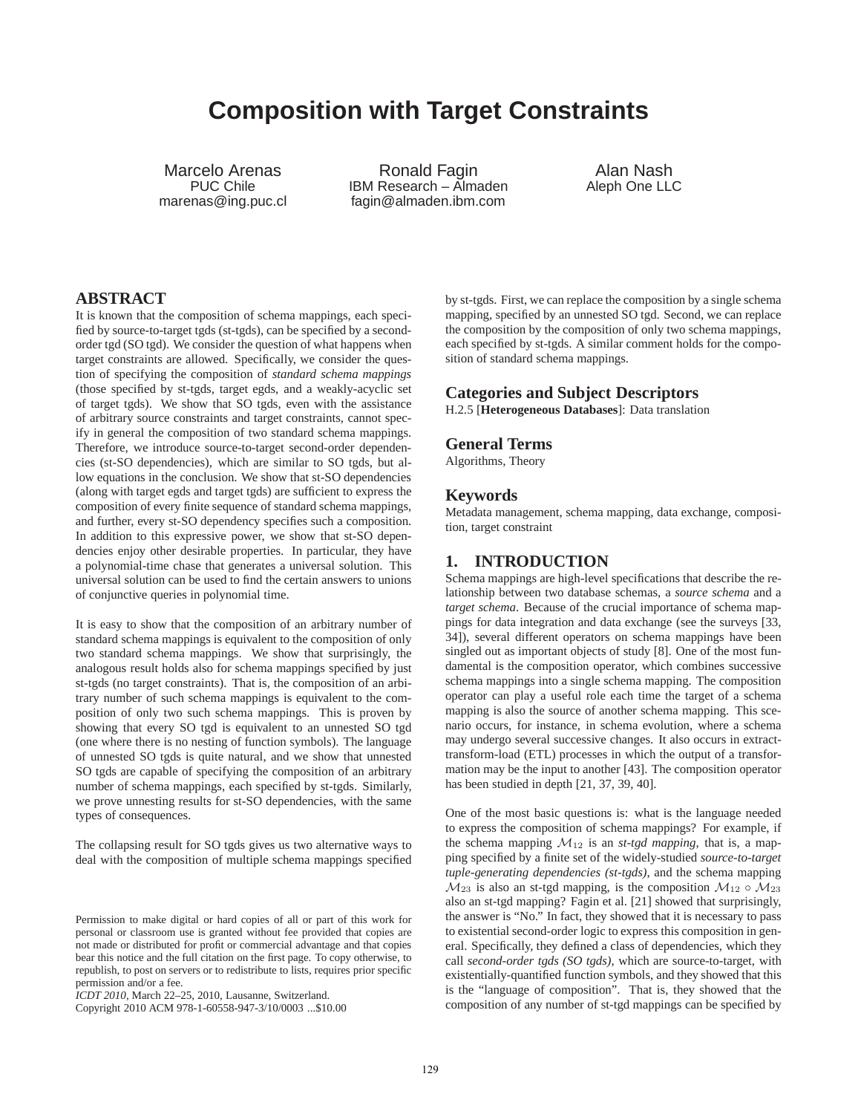# **Composition with Target Constraints**

Marcelo Arenas PUC Chile marenas@ing.puc.cl

Ronald Fagin IBM Research – Almaden fagin@almaden.ibm.com

Alan Nash Aleph One LLC

## **ABSTRACT**

It is known that the composition of schema mappings, each specified by source-to-target tgds (st-tgds), can be specified by a secondorder tgd (SO tgd). We consider the question of what happens when target constraints are allowed. Specifically, we consider the question of specifying the composition of *standard schema mappings* (those specified by st-tgds, target egds, and a weakly-acyclic set of target tgds). We show that SO tgds, even with the assistance of arbitrary source constraints and target constraints, cannot specify in general the composition of two standard schema mappings. Therefore, we introduce source-to-target second-order dependencies (st-SO dependencies), which are similar to SO tgds, but allow equations in the conclusion. We show that st-SO dependencies (along with target egds and target tgds) are sufficient to express the composition of every finite sequence of standard schema mappings, and further, every st-SO dependency specifies such a composition. In addition to this expressive power, we show that st-SO dependencies enjoy other desirable properties. In particular, they have a polynomial-time chase that generates a universal solution. This universal solution can be used to find the certain answers to unions of conjunctive queries in polynomial time.

It is easy to show that the composition of an arbitrary number of standard schema mappings is equivalent to the composition of only two standard schema mappings. We show that surprisingly, the analogous result holds also for schema mappings specified by just st-tgds (no target constraints). That is, the composition of an arbitrary number of such schema mappings is equivalent to the composition of only two such schema mappings. This is proven by showing that every SO tgd is equivalent to an unnested SO tgd (one where there is no nesting of function symbols). The language of unnested SO tgds is quite natural, and we show that unnested SO tgds are capable of specifying the composition of an arbitrary number of schema mappings, each specified by st-tgds. Similarly, we prove unnesting results for st-SO dependencies, with the same types of consequences.

The collapsing result for SO tgds gives us two alternative ways to deal with the composition of multiple schema mappings specified by st-tgds. First, we can replace the composition by a single schema mapping, specified by an unnested SO tgd. Second, we can replace the composition by the composition of only two schema mappings, each specified by st-tgds. A similar comment holds for the composition of standard schema mappings.

#### **Categories and Subject Descriptors**

H.2.5 [**Heterogeneous Databases**]: Data translation

#### **General Terms**

Algorithms, Theory

#### **Keywords**

Metadata management, schema mapping, data exchange, composition, target constraint

### **1. INTRODUCTION**

Schema mappings are high-level specifications that describe the relationship between two database schemas, a *source schema* and a *target schema*. Because of the crucial importance of schema mappings for data integration and data exchange (see the surveys [33, 34]), several different operators on schema mappings have been singled out as important objects of study [8]. One of the most fundamental is the composition operator, which combines successive schema mappings into a single schema mapping. The composition operator can play a useful role each time the target of a schema mapping is also the source of another schema mapping. This scenario occurs, for instance, in schema evolution, where a schema may undergo several successive changes. It also occurs in extracttransform-load (ETL) processes in which the output of a transformation may be the input to another [43]. The composition operator has been studied in depth [21, 37, 39, 40].

One of the most basic questions is: what is the language needed to express the composition of schema mappings? For example, if the schema mapping  $\mathcal{M}_{12}$  is an *st-tgd mapping*, that is, a mapping specified by a finite set of the widely-studied *source-to-target tuple-generating dependencies (st-tgds)*, and the schema mapping  $M_{23}$  is also an st-tgd mapping, is the composition  $M_{12} \circ M_{23}$ also an st-tgd mapping? Fagin et al. [21] showed that surprisingly, the answer is "No." In fact, they showed that it is necessary to pass to existential second-order logic to express this composition in general. Specifically, they defined a class of dependencies, which they call *second-order tgds (SO tgds)*, which are source-to-target, with existentially-quantified function symbols, and they showed that this is the "language of composition". That is, they showed that the composition of any number of st-tgd mappings can be specified by

Permission to make digital or hard copies of all or part of this work for personal or classroom use is granted without fee provided that copies are not made or distributed for profit or commercial advantage and that copies bear this notice and the full citation on the first page. To copy otherwise, to republish, to post on servers or to redistribute to lists, requires prior specific permission and/or a fee.

*ICDT 2010*, March 22–25, 2010, Lausanne, Switzerland.

Copyright 2010 ACM 978-1-60558-947-3/10/0003 ...\$10.00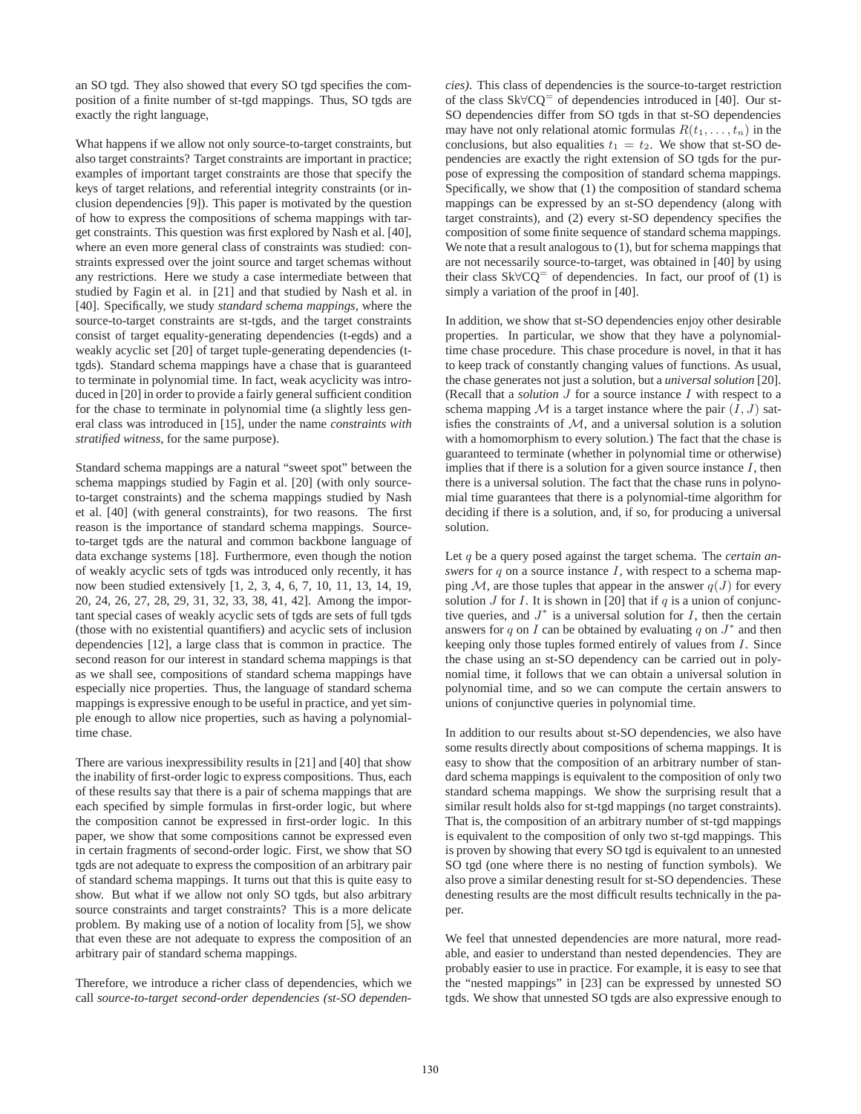an SO tgd. They also showed that every SO tgd specifies the composition of a finite number of st-tgd mappings. Thus, SO tgds are exactly the right language,

What happens if we allow not only source-to-target constraints, but also target constraints? Target constraints are important in practice; examples of important target constraints are those that specify the keys of target relations, and referential integrity constraints (or inclusion dependencies [9]). This paper is motivated by the question of how to express the compositions of schema mappings with target constraints. This question was first explored by Nash et al. [40], where an even more general class of constraints was studied: constraints expressed over the joint source and target schemas without any restrictions. Here we study a case intermediate between that studied by Fagin et al. in [21] and that studied by Nash et al. in [40]. Specifically, we study *standard schema mappings*, where the source-to-target constraints are st-tgds, and the target constraints consist of target equality-generating dependencies (t-egds) and a weakly acyclic set [20] of target tuple-generating dependencies (ttgds). Standard schema mappings have a chase that is guaranteed to terminate in polynomial time. In fact, weak acyclicity was introduced in [20] in order to provide a fairly general sufficient condition for the chase to terminate in polynomial time (a slightly less general class was introduced in [15], under the name *constraints with stratified witness*, for the same purpose).

Standard schema mappings are a natural "sweet spot" between the schema mappings studied by Fagin et al. [20] (with only sourceto-target constraints) and the schema mappings studied by Nash et al. [40] (with general constraints), for two reasons. The first reason is the importance of standard schema mappings. Sourceto-target tgds are the natural and common backbone language of data exchange systems [18]. Furthermore, even though the notion of weakly acyclic sets of tgds was introduced only recently, it has now been studied extensively [1, 2, 3, 4, 6, 7, 10, 11, 13, 14, 19, 20, 24, 26, 27, 28, 29, 31, 32, 33, 38, 41, 42]. Among the important special cases of weakly acyclic sets of tgds are sets of full tgds (those with no existential quantifiers) and acyclic sets of inclusion dependencies [12], a large class that is common in practice. The second reason for our interest in standard schema mappings is that as we shall see, compositions of standard schema mappings have especially nice properties. Thus, the language of standard schema mappings is expressive enough to be useful in practice, and yet simple enough to allow nice properties, such as having a polynomialtime chase.

There are various inexpressibility results in [21] and [40] that show the inability of first-order logic to express compositions. Thus, each of these results say that there is a pair of schema mappings that are each specified by simple formulas in first-order logic, but where the composition cannot be expressed in first-order logic. In this paper, we show that some compositions cannot be expressed even in certain fragments of second-order logic. First, we show that SO tgds are not adequate to express the composition of an arbitrary pair of standard schema mappings. It turns out that this is quite easy to show. But what if we allow not only SO tgds, but also arbitrary source constraints and target constraints? This is a more delicate problem. By making use of a notion of locality from [5], we show that even these are not adequate to express the composition of an arbitrary pair of standard schema mappings.

Therefore, we introduce a richer class of dependencies, which we call *source-to-target second-order dependencies (st-SO dependen-* *cies)*. This class of dependencies is the source-to-target restriction of the class Sk∀CQ<sup>=</sup> of dependencies introduced in [40]. Our st-SO dependencies differ from SO tgds in that st-SO dependencies may have not only relational atomic formulas  $R(t_1, \ldots, t_n)$  in the conclusions, but also equalities  $t_1 = t_2$ . We show that st-SO dependencies are exactly the right extension of SO tgds for the purpose of expressing the composition of standard schema mappings. Specifically, we show that (1) the composition of standard schema mappings can be expressed by an st-SO dependency (along with target constraints), and (2) every st-SO dependency specifies the composition of some finite sequence of standard schema mappings. We note that a result analogous to  $(1)$ , but for schema mappings that are not necessarily source-to-target, was obtained in [40] by using their class  $Sk \forall CQ =$  of dependencies. In fact, our proof of (1) is simply a variation of the proof in [40].

In addition, we show that st-SO dependencies enjoy other desirable properties. In particular, we show that they have a polynomialtime chase procedure. This chase procedure is novel, in that it has to keep track of constantly changing values of functions. As usual, the chase generates not just a solution, but a *universal solution* [20]. (Recall that a *solution* J for a source instance I with respect to a schema mapping  $M$  is a target instance where the pair  $(I, J)$  satisfies the constraints of  $M$ , and a universal solution is a solution with a homomorphism to every solution.) The fact that the chase is guaranteed to terminate (whether in polynomial time or otherwise) implies that if there is a solution for a given source instance  $I$ , then there is a universal solution. The fact that the chase runs in polynomial time guarantees that there is a polynomial-time algorithm for deciding if there is a solution, and, if so, for producing a universal solution.

Let q be a query posed against the target schema. The *certain answers* for  $q$  on a source instance  $I$ , with respect to a schema mapping  $M$ , are those tuples that appear in the answer  $q(J)$  for every solution  $J$  for  $I$ . It is shown in [20] that if  $q$  is a union of conjunctive queries, and  $J^*$  is a universal solution for  $I$ , then the certain answers for q on I can be obtained by evaluating q on  $J^*$  and then keeping only those tuples formed entirely of values from I. Since the chase using an st-SO dependency can be carried out in polynomial time, it follows that we can obtain a universal solution in polynomial time, and so we can compute the certain answers to unions of conjunctive queries in polynomial time.

In addition to our results about st-SO dependencies, we also have some results directly about compositions of schema mappings. It is easy to show that the composition of an arbitrary number of standard schema mappings is equivalent to the composition of only two standard schema mappings. We show the surprising result that a similar result holds also for st-tgd mappings (no target constraints). That is, the composition of an arbitrary number of st-tgd mappings is equivalent to the composition of only two st-tgd mappings. This is proven by showing that every SO tgd is equivalent to an unnested SO tgd (one where there is no nesting of function symbols). We also prove a similar denesting result for st-SO dependencies. These denesting results are the most difficult results technically in the paper.

We feel that unnested dependencies are more natural, more readable, and easier to understand than nested dependencies. They are probably easier to use in practice. For example, it is easy to see that the "nested mappings" in [23] can be expressed by unnested SO tgds. We show that unnested SO tgds are also expressive enough to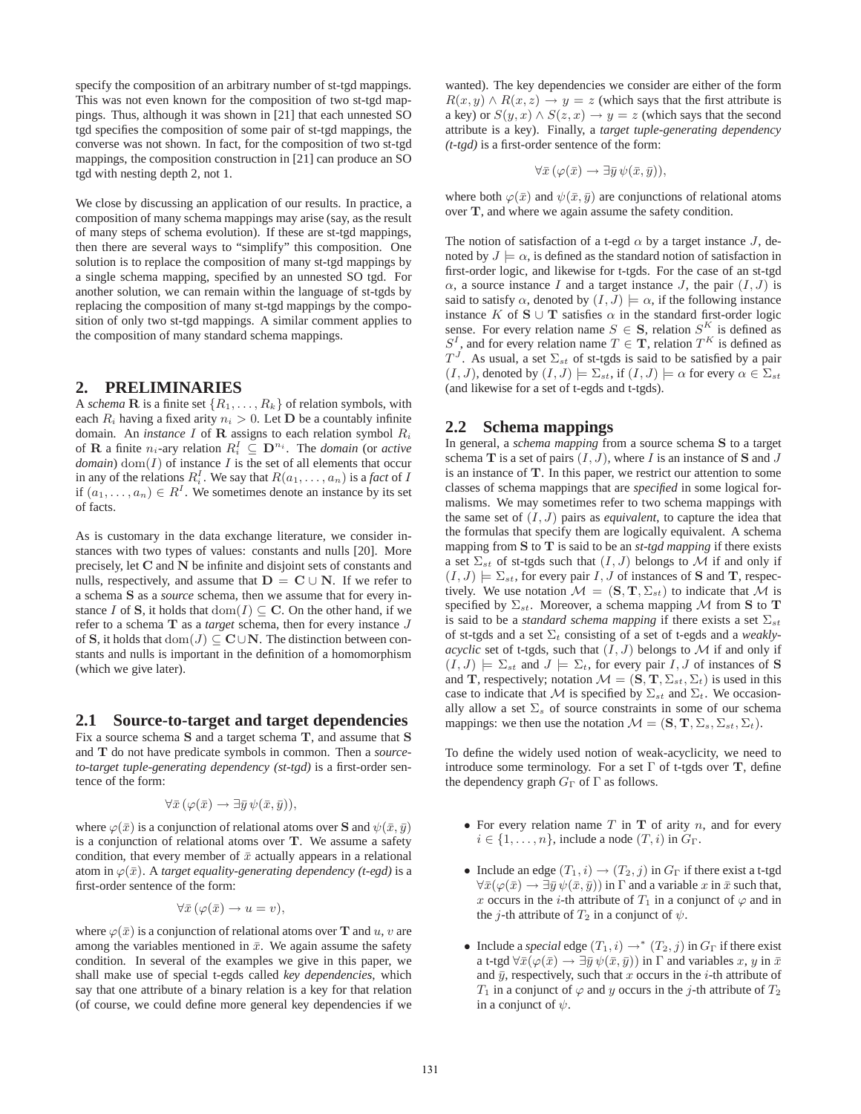specify the composition of an arbitrary number of st-tgd mappings. This was not even known for the composition of two st-tgd mappings. Thus, although it was shown in [21] that each unnested SO tgd specifies the composition of some pair of st-tgd mappings, the converse was not shown. In fact, for the composition of two st-tgd mappings, the composition construction in [21] can produce an SO tgd with nesting depth 2, not 1.

We close by discussing an application of our results. In practice, a composition of many schema mappings may arise (say, as the result of many steps of schema evolution). If these are st-tgd mappings, then there are several ways to "simplify" this composition. One solution is to replace the composition of many st-tgd mappings by a single schema mapping, specified by an unnested SO tgd. For another solution, we can remain within the language of st-tgds by replacing the composition of many st-tgd mappings by the composition of only two st-tgd mappings. A similar comment applies to the composition of many standard schema mappings.

# **2. PRELIMINARIES**

A *schema* **R** is a finite set  $\{R_1, \ldots, R_k\}$  of relation symbols, with each  $R_i$  having a fixed arity  $n_i > 0$ . Let **D** be a countably infinite domain. An *instance*  $I$  of  $\mathbf R$  assigns to each relation symbol  $R_i$ of **R** a finite  $n_i$ -ary relation  $R_i^I \subseteq \mathbf{D}^{n_i}$ . The *domain* (or *active domain*)  $dom(I)$  of instance  $I$  is the set of all elements that occur in any of the relations  $R_i^I$ . We say that  $R(a_1, \ldots, a_n)$  is a *fact* of I if  $(a_1, \ldots, a_n) \in R^I$ . We sometimes denote an instance by its set of facts.

As is customary in the data exchange literature, we consider instances with two types of values: constants and nulls [20]. More precisely, let C and N be infinite and disjoint sets of constants and nulls, respectively, and assume that  $D = C \cup N$ . If we refer to a schema S as a *source* schema, then we assume that for every instance I of S, it holds that  $dom(I) \subseteq C$ . On the other hand, if we refer to a schema T as a *target* schema, then for every instance J of S, it holds that  $dom(J) \subseteq \mathbb{C} \cup \mathbb{N}$ . The distinction between constants and nulls is important in the definition of a homomorphism (which we give later).

#### **2.1 Source-to-target and target dependencies**

Fix a source schema S and a target schema T, and assume that S and T do not have predicate symbols in common. Then a *sourceto-target tuple-generating dependency (st-tgd)* is a first-order sentence of the form:

$$
\forall \bar{x} \, (\varphi(\bar{x}) \to \exists \bar{y} \, \psi(\bar{x}, \bar{y})),
$$

where  $\varphi(\bar{x})$  is a conjunction of relational atoms over **S** and  $\psi(\bar{x}, \bar{y})$ is a conjunction of relational atoms over T. We assume a safety condition, that every member of  $\bar{x}$  actually appears in a relational atom in  $\varphi(\bar{x})$ . A *target equality-generating dependency (t-egd)* is a first-order sentence of the form:

$$
\forall \bar{x} \, (\varphi(\bar{x}) \to u = v),
$$

where  $\varphi(\bar{x})$  is a conjunction of relational atoms over **T** and u, v are among the variables mentioned in  $\bar{x}$ . We again assume the safety condition. In several of the examples we give in this paper, we shall make use of special t-egds called *key dependencies*, which say that one attribute of a binary relation is a key for that relation (of course, we could define more general key dependencies if we wanted). The key dependencies we consider are either of the form  $R(x, y) \wedge R(x, z) \rightarrow y = z$  (which says that the first attribute is a key) or  $S(y, x) \wedge S(z, x) \rightarrow y = z$  (which says that the second attribute is a key). Finally, a *target tuple-generating dependency (t-tgd)* is a first-order sentence of the form:

$$
\forall \bar{x} \ (\varphi(\bar{x}) \to \exists \bar{y} \ \psi(\bar{x}, \bar{y})),
$$

where both  $\varphi(\bar{x})$  and  $\psi(\bar{x}, \bar{y})$  are conjunctions of relational atoms over T, and where we again assume the safety condition.

The notion of satisfaction of a t-egd  $\alpha$  by a target instance J, denoted by  $J \models \alpha$ , is defined as the standard notion of satisfaction in first-order logic, and likewise for t-tgds. For the case of an st-tgd  $\alpha$ , a source instance I and a target instance J, the pair  $(I, J)$  is said to satisfy  $\alpha$ , denoted by  $(I, J) \models \alpha$ , if the following instance instance K of S ∪ T satisfies  $\alpha$  in the standard first-order logic sense. For every relation name  $S \in \mathbf{S}$ , relation  $S^K$  is defined as  $S<sup>I</sup>$ , and for every relation name  $T \in \mathbf{T}$ , relation  $T<sup>K</sup>$  is defined as  $T<sup>J</sup>$ . As usual, a set  $\Sigma_{st}$  of st-tgds is said to be satisfied by a pair  $(I, J)$ , denoted by  $(I, J) \models \Sigma_{st}$ , if  $(I, J) \models \alpha$  for every  $\alpha \in \Sigma_{st}$ (and likewise for a set of t-egds and t-tgds).

## **2.2 Schema mappings**

In general, a *schema mapping* from a source schema S to a target schema T is a set of pairs  $(I, J)$ , where I is an instance of S and J is an instance of T. In this paper, we restrict our attention to some classes of schema mappings that are *specified* in some logical formalisms. We may sometimes refer to two schema mappings with the same set of  $(I, J)$  pairs as *equivalent*, to capture the idea that the formulas that specify them are logically equivalent. A schema mapping from S to T is said to be an *st-tgd mapping* if there exists a set  $\Sigma_{st}$  of st-tgds such that  $(I, J)$  belongs to M if and only if  $(I, J) \models \Sigma_{st}$ , for every pair I, J of instances of S and T, respectively. We use notation  $\mathcal{M} = (\mathbf{S}, \mathbf{T}, \Sigma_{st})$  to indicate that M is specified by  $\Sigma_{st}$ . Moreover, a schema mapping M from S to T is said to be a *standard schema mapping* if there exists a set  $\Sigma_{st}$ of st-tgds and a set  $\Sigma_t$  consisting of a set of t-egds and a *weaklyacyclic* set of t-tgds, such that  $(I, J)$  belongs to M if and only if  $(I, J) \models \Sigma_{st}$  and  $J \models \Sigma_{t}$ , for every pair I, J of instances of S and T, respectively; notation  $\mathcal{M} = (\mathbf{S}, \mathbf{T}, \Sigma_{st}, \Sigma_t)$  is used in this case to indicate that M is specified by  $\Sigma_{st}$  and  $\Sigma_t$ . We occasionally allow a set  $\Sigma_s$  of source constraints in some of our schema mappings: we then use the notation  $\mathcal{M} = (\mathbf{S}, \mathbf{T}, \Sigma_s, \Sigma_{st}, \Sigma_t)$ .

To define the widely used notion of weak-acyclicity, we need to introduce some terminology. For a set  $\Gamma$  of t-tgds over T, define the dependency graph  $G_{\Gamma}$  of  $\Gamma$  as follows.

- For every relation name  $T$  in  $T$  of arity  $n$ , and for every  $i \in \{1, \ldots, n\}$ , include a node  $(T, i)$  in  $G_{\Gamma}$ .
- Include an edge  $(T_1, i) \rightarrow (T_2, j)$  in  $G_{\Gamma}$  if there exist a t-tgd  $\forall \bar{x}(\varphi(\bar{x}) \rightarrow \exists \bar{y} \psi(\bar{x}, \bar{y}))$  in  $\Gamma$  and a variable  $x$  in  $\bar{x}$  such that, x occurs in the *i*-th attribute of  $T_1$  in a conjunct of  $\varphi$  and in the *j*-th attribute of  $T_2$  in a conjunct of  $\psi$ .
- Include a *special* edge  $(T_1, i) \rightarrow^* (T_2, j)$  in  $G_{\Gamma}$  if there exist a t-tgd  $\forall \bar{x}(\varphi(\bar{x}) \rightarrow \exists \bar{y} \psi(\bar{x}, \bar{y}))$  in  $\Gamma$  and variables  $x, y$  in  $\bar{x}$ and  $\bar{y}$ , respectively, such that x occurs in the *i*-th attribute of  $T_1$  in a conjunct of  $\varphi$  and y occurs in the j-th attribute of  $T_2$ in a conjunct of  $\psi$ .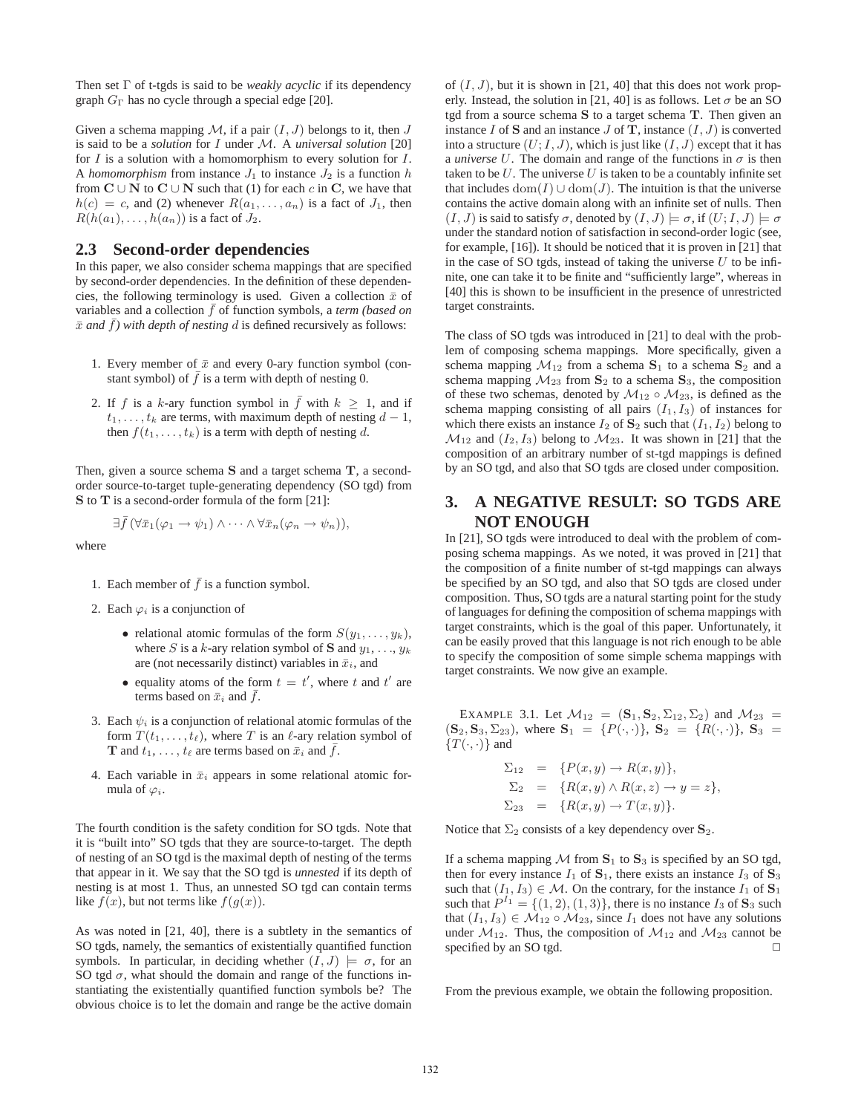Then set Γ of t-tgds is said to be *weakly acyclic* if its dependency graph  $G_{\Gamma}$  has no cycle through a special edge [20].

Given a schema mapping  $M$ , if a pair  $(I, J)$  belongs to it, then J is said to be a *solution* for I under M. A *universal solution* [20] for  $I$  is a solution with a homomorphism to every solution for  $I$ . A *homomorphism* from instance  $J_1$  to instance  $J_2$  is a function h from  $C \cup N$  to  $C \cup N$  such that (1) for each c in C, we have that  $h(c) = c$ , and (2) whenever  $R(a_1, \ldots, a_n)$  is a fact of  $J_1$ , then  $R(h(a_1), \ldots, h(a_n))$  is a fact of  $J_2$ .

## **2.3 Second-order dependencies**

In this paper, we also consider schema mappings that are specified by second-order dependencies. In the definition of these dependencies, the following terminology is used. Given a collection  $\bar{x}$  of variables and a collection  $\bar{f}$  of function symbols, a *term (based on*)  $\bar{x}$  *and*  $\bar{f}$ *)* with depth of nesting d is defined recursively as follows:

- 1. Every member of  $\bar{x}$  and every 0-ary function symbol (constant symbol) of  $\bar{f}$  is a term with depth of nesting 0.
- 2. If f is a k-ary function symbol in  $\bar{f}$  with  $k \geq 1$ , and if  $t_1, \ldots, t_k$  are terms, with maximum depth of nesting  $d-1$ , then  $f(t_1, \ldots, t_k)$  is a term with depth of nesting d.

Then, given a source schema S and a target schema T, a secondorder source-to-target tuple-generating dependency (SO tgd) from S to T is a second-order formula of the form [21]:

$$
\exists \bar{f} \left( \forall \bar{x}_1(\varphi_1 \to \psi_1) \land \cdots \land \forall \bar{x}_n(\varphi_n \to \psi_n) \right),
$$

where

- 1. Each member of  $\bar{f}$  is a function symbol.
- 2. Each  $\varphi_i$  is a conjunction of
	- relational atomic formulas of the form  $S(y_1, \ldots, y_k)$ , where S is a k-ary relation symbol of S and  $y_1, \ldots, y_k$ are (not necessarily distinct) variables in  $\bar{x}_i$ , and
	- equality atoms of the form  $t = t'$ , where t and t' are terms based on  $\bar{x}_i$  and  $\bar{f}$ .
- 3. Each  $\psi_i$  is a conjunction of relational atomic formulas of the form  $T(t_1, \ldots, t_\ell)$ , where T is an  $\ell$ -ary relation symbol of **T** and  $t_1, \ldots, t_\ell$  are terms based on  $\bar{x}_i$  and  $\bar{f}$ .
- 4. Each variable in  $\bar{x}_i$  appears in some relational atomic formula of  $\varphi_i$ .

The fourth condition is the safety condition for SO tgds. Note that it is "built into" SO tgds that they are source-to-target. The depth of nesting of an SO tgd is the maximal depth of nesting of the terms that appear in it. We say that the SO tgd is *unnested* if its depth of nesting is at most 1. Thus, an unnested SO tgd can contain terms like  $f(x)$ , but not terms like  $f(g(x))$ .

As was noted in [21, 40], there is a subtlety in the semantics of SO tgds, namely, the semantics of existentially quantified function symbols. In particular, in deciding whether  $(I, J) \models \sigma$ , for an SO tgd  $\sigma$ , what should the domain and range of the functions instantiating the existentially quantified function symbols be? The obvious choice is to let the domain and range be the active domain

of  $(I, J)$ , but it is shown in [21, 40] that this does not work properly. Instead, the solution in [21, 40] is as follows. Let  $\sigma$  be an SO tgd from a source schema S to a target schema T. Then given an instance I of S and an instance J of T, instance  $(I, J)$  is converted into a structure  $(U; I, J)$ , which is just like  $(I, J)$  except that it has a *universe* U. The domain and range of the functions in  $\sigma$  is then taken to be  $U$ . The universe  $U$  is taken to be a countably infinite set that includes  $dom(I) \cup dom(J)$ . The intuition is that the universe contains the active domain along with an infinite set of nulls. Then  $(I, J)$  is said to satisfy  $\sigma$ , denoted by  $(I, J) \models \sigma$ , if  $(U; I, J) \models \sigma$ under the standard notion of satisfaction in second-order logic (see, for example, [16]). It should be noticed that it is proven in [21] that in the case of SO tgds, instead of taking the universe  $U$  to be infinite, one can take it to be finite and "sufficiently large", whereas in [40] this is shown to be insufficient in the presence of unrestricted target constraints.

The class of SO tgds was introduced in [21] to deal with the problem of composing schema mappings. More specifically, given a schema mapping  $\mathcal{M}_{12}$  from a schema  $S_1$  to a schema  $S_2$  and a schema mapping  $\mathcal{M}_{23}$  from  $\mathbf{S}_2$  to a schema  $\mathbf{S}_3$ , the composition of these two schemas, denoted by  $\mathcal{M}_{12} \circ \mathcal{M}_{23}$ , is defined as the schema mapping consisting of all pairs  $(I_1, I_3)$  of instances for which there exists an instance  $I_2$  of  $S_2$  such that  $(I_1, I_2)$  belong to  $\mathcal{M}_{12}$  and  $(I_2, I_3)$  belong to  $\mathcal{M}_{23}$ . It was shown in [21] that the composition of an arbitrary number of st-tgd mappings is defined by an SO tgd, and also that SO tgds are closed under composition.

# **3. A NEGATIVE RESULT: SO TGDS ARE NOT ENOUGH**

In [21], SO tgds were introduced to deal with the problem of composing schema mappings. As we noted, it was proved in [21] that the composition of a finite number of st-tgd mappings can always be specified by an SO tgd, and also that SO tgds are closed under composition. Thus, SO tgds are a natural starting point for the study of languages for defining the composition of schema mappings with target constraints, which is the goal of this paper. Unfortunately, it can be easily proved that this language is not rich enough to be able to specify the composition of some simple schema mappings with target constraints. We now give an example.

EXAMPLE 3.1. Let  $\mathcal{M}_{12} = (\mathbf{S}_1, \mathbf{S}_2, \Sigma_{12}, \Sigma_2)$  and  $\mathcal{M}_{23} =$  $(S_2, S_3, \Sigma_{23})$ , where  $S_1 = \{P(\cdot, \cdot)\}\$ ,  $S_2 = \{R(\cdot, \cdot)\}\$ ,  $S_3 =$  $\{T(\cdot,\cdot)\}\$ and

$$
\Sigma_{12} = \{P(x,y) \rightarrow R(x,y)\},
$$
  
\n
$$
\Sigma_2 = \{R(x,y) \land R(x,z) \rightarrow y = z\},
$$
  
\n
$$
\Sigma_{23} = \{R(x,y) \rightarrow T(x,y)\}.
$$

Notice that  $\Sigma_2$  consists of a key dependency over  $\mathbf{S}_2$ .

If a schema mapping  $M$  from  $S_1$  to  $S_3$  is specified by an SO tgd, then for every instance  $I_1$  of  $S_1$ , there exists an instance  $I_3$  of  $S_3$ such that  $(I_1, I_3) \in \mathcal{M}$ . On the contrary, for the instance  $I_1$  of  $S_1$ such that  $P^{I_1} = \{(1, 2), (1, 3)\}\$ , there is no instance  $I_3$  of  $S_3$  such that  $(I_1, I_3) \in M_{12} \circ M_{23}$ , since  $I_1$  does not have any solutions under  $M_{12}$ . Thus, the composition of  $M_{12}$  and  $M_{23}$  cannot be specified by an SO tgd.  $\Box$ 

From the previous example, we obtain the following proposition.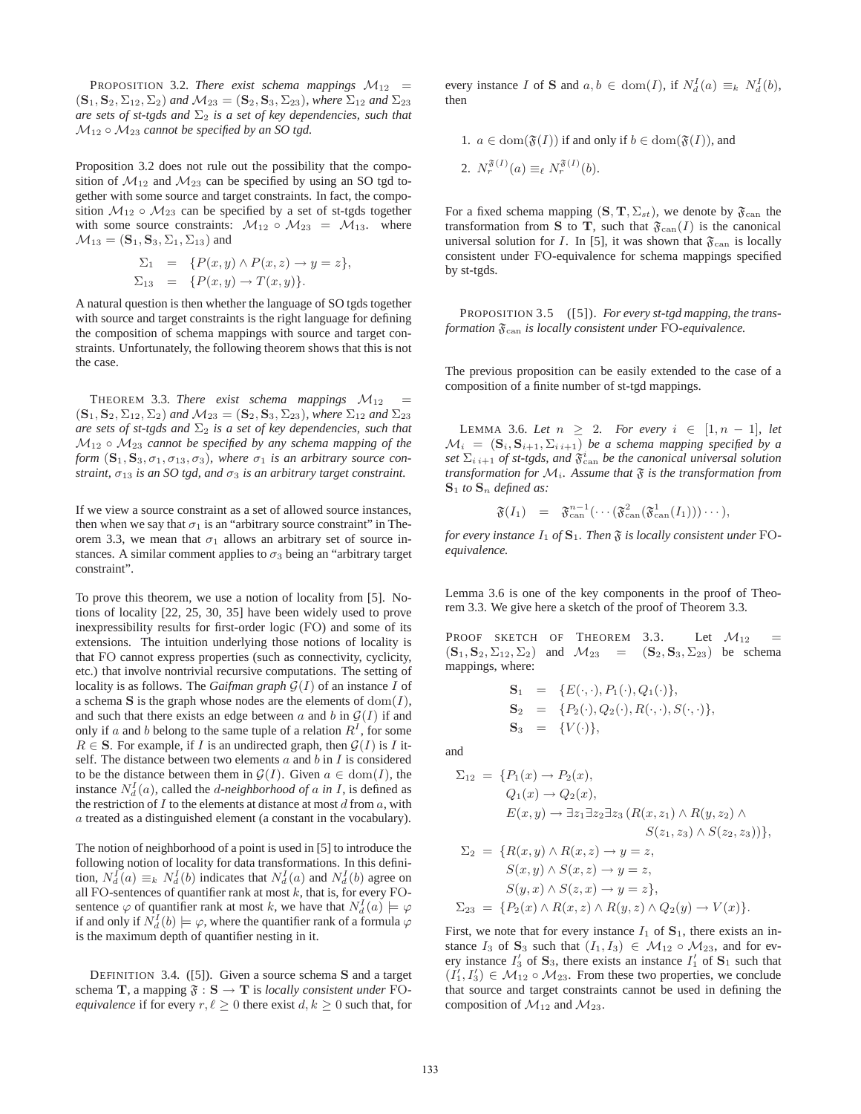PROPOSITION 3.2. *There exist schema mappings*  $M_{12}$  =  $(\mathbf{S}_1, \mathbf{S}_2, \Sigma_{12}, \Sigma_2)$  *and*  $\mathcal{M}_{23} = (\mathbf{S}_2, \mathbf{S}_3, \Sigma_{23})$ *, where*  $\Sigma_{12}$  *and*  $\Sigma_{23}$ *are sets of st-tgds and*  $\Sigma_2$  *is a set of key dependencies, such that* M<sup>12</sup> ◦ M<sup>23</sup> *cannot be specified by an SO tgd.*

Proposition 3.2 does not rule out the possibility that the composition of  $M_{12}$  and  $M_{23}$  can be specified by using an SO tgd together with some source and target constraints. In fact, the composition  $\mathcal{M}_{12} \circ \mathcal{M}_{23}$  can be specified by a set of st-tgds together with some source constraints:  $M_{12} \circ M_{23} = M_{13}$ . where  $\mathcal{M}_{13} = (\mathbf{S}_1, \mathbf{S}_3, \Sigma_1, \Sigma_{13})$  and

$$
\Sigma_1 = \{ P(x, y) \land P(x, z) \rightarrow y = z \},
$$
  
\n
$$
\Sigma_{13} = \{ P(x, y) \rightarrow T(x, y) \}.
$$

A natural question is then whether the language of SO tgds together with source and target constraints is the right language for defining the composition of schema mappings with source and target constraints. Unfortunately, the following theorem shows that this is not the case.

THEOREM 3.3. *There exist schema mappings*  $M_{12}$  $(S_1, S_2, \Sigma_{12}, \Sigma_2)$  *and*  $M_{23} = (S_2, S_3, \Sigma_{23})$ *, where*  $\Sigma_{12}$  *and*  $\Sigma_{23}$ *are sets of st-tgds and* Σ<sup>2</sup> *is a set of key dependencies, such that* M<sup>12</sup> ◦ M<sup>23</sup> *cannot be specified by any schema mapping of the form*  $(S_1, S_3, \sigma_1, \sigma_{13}, \sigma_3)$ *, where*  $\sigma_1$  *is an arbitrary source constraint,*  $\sigma_{13}$  *is an SO tgd, and*  $\sigma_3$  *is an arbitrary target constraint.* 

If we view a source constraint as a set of allowed source instances, then when we say that  $\sigma_1$  is an "arbitrary source constraint" in Theorem 3.3, we mean that  $\sigma_1$  allows an arbitrary set of source instances. A similar comment applies to  $\sigma_3$  being an "arbitrary target constraint".

To prove this theorem, we use a notion of locality from [5]. Notions of locality [22, 25, 30, 35] have been widely used to prove inexpressibility results for first-order logic (FO) and some of its extensions. The intuition underlying those notions of locality is that FO cannot express properties (such as connectivity, cyclicity, etc.) that involve nontrivial recursive computations. The setting of locality is as follows. The *Gaifman graph*  $\mathcal{G}(I)$  of an instance I of a schema S is the graph whose nodes are the elements of  $dom(I)$ , and such that there exists an edge between a and b in  $\mathcal{G}(I)$  if and only if a and b belong to the same tuple of a relation  $R<sup>I</sup>$ , for some  $R \in S$ . For example, if I is an undirected graph, then  $G(I)$  is I itself. The distance between two elements  $a$  and  $b$  in  $I$  is considered to be the distance between them in  $\mathcal{G}(I)$ . Given  $a \in \text{dom}(I)$ , the instance  $N_d^I(a)$ , called the *d*-neighborhood of a in *I*, is defined as the restriction of  $I$  to the elements at distance at most  $d$  from  $a$ , with a treated as a distinguished element (a constant in the vocabulary).

The notion of neighborhood of a point is used in [5] to introduce the following notion of locality for data transformations. In this definition,  $N_d^I(a) \equiv_k N_d^I(b)$  indicates that  $N_d^I(a)$  and  $N_d^I(b)$  agree on all FO-sentences of quantifier rank at most  $k$ , that is, for every FOsentence  $\varphi$  of quantifier rank at most k, we have that  $N_d^I(a) \models \varphi$ if and only if  $N_d^I(b)\models \varphi,$  where the quantifier rank of a formula  $\varphi$ is the maximum depth of quantifier nesting in it.

DEFINITION 3.4. ([5]). Given a source schema S and a target schema **T**, a mapping  $\mathfrak{F} : \mathbf{S} \to \mathbf{T}$  is *locally consistent under* FO*equivalence* if for every  $r, l \geq 0$  there exist  $d, k \geq 0$  such that, for

every instance I of S and  $a, b \in \text{dom}(I)$ , if  $N_d^I(a) \equiv_k N_d^I(b)$ , then

1.  $a \in \text{dom}(\mathfrak{F}(I))$  if and only if  $b \in \text{dom}(\mathfrak{F}(I))$ , and

2. 
$$
N_r^{\mathfrak{F}(I)}(a) \equiv_{\ell} N_r^{\mathfrak{F}(I)}(b)
$$
.

For a fixed schema mapping  $(S, T, \Sigma_{st})$ , we denote by  $\mathfrak{F}_{\text{can}}$  the transformation from S to T, such that  $\mathfrak{F}_{\text{can}}(I)$  is the canonical universal solution for I. In [5], it was shown that  $\mathfrak{F}_{\text{can}}$  is locally consistent under FO-equivalence for schema mappings specified by st-tgds.

PROPOSITION 3.5 ([5]). *For every st-tgd mapping, the transformation* Fcan *is locally consistent under* FO*-equivalence.*

The previous proposition can be easily extended to the case of a composition of a finite number of st-tgd mappings.

LEMMA 3.6. *Let*  $n \ge 2$ *. For every*  $i \in [1, n - 1]$ *, let*  $\mathcal{M}_i = (\mathbf{S}_i, \mathbf{S}_{i+1}, \Sigma_{i,i+1})$  *be a schema mapping specified by a*  $\mathcal{S}_{i,i+1}$  *of st-tgds, and*  $\mathfrak{F}_{\text{can}}^{i}$  *be the canonical universal solution transformation for*  $M_i$ . Assume that  $\mathfrak F$  *is the transformation from*  $S_1$  *to*  $S_n$  *defined as:* 

$$
\mathfrak{F}(I_1) = \mathfrak{F}_{\text{can}}^{n-1}(\cdots(\mathfrak{F}_{\text{can}}^2(\mathfrak{F}_{\text{can}}^1(I_1)))\cdots),
$$

*for every instance*  $I_1$  *of*  $S_1$ *. Then*  $\mathfrak{F}$  *is locally consistent under* FO*equivalence.*

Lemma 3.6 is one of the key components in the proof of Theorem 3.3. We give here a sketch of the proof of Theorem 3.3.

PROOF SKETCH OF THEOREM 3.3. Let  $\mathcal{M}_{12}$  $(S_1, S_2, \Sigma_{12}, \Sigma_2)$  and  $\mathcal{M}_{23} = (S_2, S_3, \Sigma_{23})$  be schema mappings, where:

$$
\begin{array}{rcl}\n\mathbf{S}_1 & = & \{E(\cdot, \cdot), P_1(\cdot), Q_1(\cdot)\}, \\
\mathbf{S}_2 & = & \{P_2(\cdot), Q_2(\cdot), R(\cdot, \cdot), S(\cdot, \cdot)\}, \\
\mathbf{S}_3 & = & \{V(\cdot)\},\n\end{array}
$$

and

$$
\Sigma_{12} = \{P_1(x) \to P_2(x),
$$
  
\n
$$
Q_1(x) \to Q_2(x),
$$
  
\n
$$
E(x, y) \to \exists z_1 \exists z_2 \exists z_3 (R(x, z_1) \land R(y, z_2) \land
$$
  
\n
$$
S(z_1, z_3) \land S(z_2, z_3))\},
$$
  
\n
$$
\Sigma_2 = \{R(x, y) \land R(x, z) \to y = z,
$$
  
\n
$$
S(y, x) \land S(z, x) \to y = z,
$$
  
\n
$$
\Sigma_{23} = \{P_2(x) \land R(x, z) \land R(y, z) \land Q_2(y) \to V(x)\}.
$$

First, we note that for every instance  $I_1$  of  $S_1$ , there exists an instance  $I_3$  of  $S_3$  such that  $(I_1, I_3) \in M_{12} \circ M_{23}$ , and for every instance  $I'_3$  of  $S_3$ , there exists an instance  $I'_1$  of  $S_1$  such that  $(I'_1, I'_3) \in \mathcal{M}_{12} \circ \mathcal{M}_{23}$ . From these two properties, we conclude that source and target constraints cannot be used in defining the composition of  $\mathcal{M}_{12}$  and  $\mathcal{M}_{23}$ .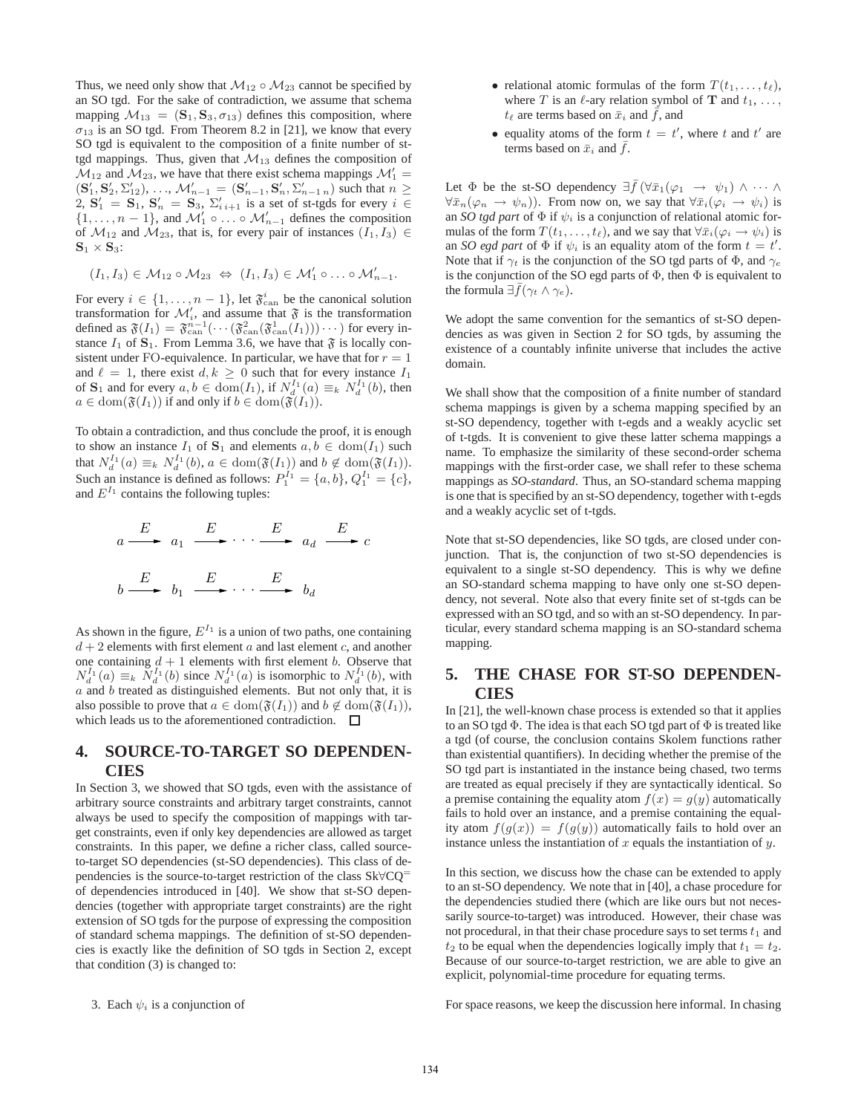Thus, we need only show that  $\mathcal{M}_{12} \circ \mathcal{M}_{23}$  cannot be specified by an SO tgd. For the sake of contradiction, we assume that schema mapping  $\mathcal{M}_{13} = (\mathbf{S}_1, \mathbf{S}_3, \sigma_{13})$  defines this composition, where  $\sigma_{13}$  is an SO tgd. From Theorem 8.2 in [21], we know that every SO tgd is equivalent to the composition of a finite number of sttgd mappings. Thus, given that  $\mathcal{M}_{13}$  defines the composition of  $\mathcal{M}_{12}$  and  $\mathcal{M}_{23}$ , we have that there exist schema mappings  $\mathcal{M}'_1 =$  $(S'_1, S'_2, \Sigma'_{12}), \ldots, \mathcal{M}'_{n-1} = (S'_{n-1}, S'_n, \Sigma'_{n-1,n})$  such that  $n \geq$ 2,  $S'_1 = S_1$ ,  $S'_n = S_3$ ,  $\Sigma'_{i,i+1}$  is a set of st-tgds for every  $i \in$  $\{1, \ldots, n-1\}$ , and  $\mathcal{M}'_1 \circ \ldots \circ \mathcal{M}'_{n-1}$  defines the composition of  $\mathcal{M}_{12}$  and  $\mathcal{M}_{23}$ , that is, for every pair of instances  $(I_1, I_3) \in$  $\mathbf{S}_1 \times \mathbf{S}_3$ :

$$
(I_1,I_3) \in \mathcal{M}_{12} \circ \mathcal{M}_{23} \Leftrightarrow (I_1,I_3) \in \mathcal{M}'_1 \circ \ldots \circ \mathcal{M}'_{n-1}.
$$

For every  $i \in \{1, \ldots, n-1\}$ , let  $\mathfrak{F}_{\text{can}}^i$  be the canonical solution transformation for  $\mathcal{M}'_i$ , and assume that  $\mathfrak F$  is the transformation defined as  $\mathfrak{F}(I_1) = \mathfrak{F}^{n-1}_{\text{can}}(\cdots(\mathfrak{F}^2_{\text{can}}(\mathfrak{F}^1_{\text{can}}(I_1)))\cdots)$  for every instance  $I_1$  of  $S_1$ . From Lemma 3.6, we have that  $\mathfrak F$  is locally consistent under FO-equivalence. In particular, we have that for  $r = 1$ and  $\ell = 1$ , there exist  $d, k \geq 0$  such that for every instance  $I_1$ of  $S_1$  and for every  $a, b \in \text{dom}(I_1)$ , if  $N_d^{I_1}(a) \equiv_k N_d^{I_1}(b)$ , then  $a \in \text{dom}(\mathfrak{F}(I_1))$  if and only if  $b \in \text{dom}(\mathfrak{F}(I_1)).$ 

To obtain a contradiction, and thus conclude the proof, it is enough to show an instance  $I_1$  of  $S_1$  and elements  $a, b \in \text{dom}(I_1)$  such that  $N_d^{I_1}(a) \equiv_k N_d^{I_1}(b)$ ,  $a \in \text{dom}(\mathfrak{F}(I_1))$  and  $b \notin \text{dom}(\mathfrak{F}(I_1))$ . Such an instance is defined as follows:  $P_1^{I_1} = \{a, b\}, Q_1^{I_1} = \{c\},\$ and  $E^{I_1}$  contains the following tuples:



As shown in the figure,  $E^{I_1}$  is a union of two paths, one containing  $d + 2$  elements with first element a and last element c, and another one containing  $d + 1$  elements with first element b. Observe that  $N_d^{I_1}(a) \equiv_k N_d^{I_1}(b)$  since  $N_d^{I_1}(a)$  is isomorphic to  $N_d^{I_1}(b)$ , with a and b treated as distinguished elements. But not only that, it is also possible to prove that  $a \in \text{dom}(\mathfrak{F}(I_1))$  and  $b \notin \text{dom}(\mathfrak{F}(I_1)),$ which leads us to the aforementioned contradiction.  $\Box$ 

# **4. SOURCE-TO-TARGET SO DEPENDEN-CIES**

In Section 3, we showed that SO tgds, even with the assistance of arbitrary source constraints and arbitrary target constraints, cannot always be used to specify the composition of mappings with target constraints, even if only key dependencies are allowed as target constraints. In this paper, we define a richer class, called sourceto-target SO dependencies (st-SO dependencies). This class of dependencies is the source-to-target restriction of the class Sk∀CQ<sup>=</sup> of dependencies introduced in [40]. We show that st-SO dependencies (together with appropriate target constraints) are the right extension of SO tgds for the purpose of expressing the composition of standard schema mappings. The definition of st-SO dependencies is exactly like the definition of SO tgds in Section 2, except that condition (3) is changed to:

- relational atomic formulas of the form  $T(t_1, \ldots, t_\ell)$ , where T is an  $\ell$ -ary relation symbol of **T** and  $t_1, \ldots$ ,  $t_{\ell}$  are terms based on  $\bar{x}_i$  and  $\bar{f}$ , and
- equality atoms of the form  $t = t'$ , where t and t' are terms based on  $\bar{x}_i$  and  $\bar{f}$ .

Let  $\Phi$  be the st-SO dependency  $\exists \bar{f}$  ( $\forall \bar{x}_1(\varphi_1 \rightarrow \psi_1) \land \cdots \land \varphi_n$  $\forall \bar{x}_n(\varphi_n \to \psi_n)$ . From now on, we say that  $\forall \bar{x}_i(\varphi_i \to \psi_i)$  is an *SO tgd part* of  $\Phi$  if  $\psi_i$  is a conjunction of relational atomic formulas of the form  $T(t_1, \ldots, t_\ell)$ , and we say that  $\forall \bar{x}_i(\varphi_i \to \psi_i)$  is an *SO egd part* of  $\Phi$  if  $\psi_i$  is an equality atom of the form  $t = t'$ . Note that if  $\gamma_t$  is the conjunction of the SO tgd parts of  $\Phi$ , and  $\gamma_e$ is the conjunction of the SO egd parts of  $\Phi$ , then  $\Phi$  is equivalent to the formula  $\exists \bar{f}(\gamma_t \wedge \gamma_e)$ .

We adopt the same convention for the semantics of st-SO dependencies as was given in Section 2 for SO tgds, by assuming the existence of a countably infinite universe that includes the active domain.

We shall show that the composition of a finite number of standard schema mappings is given by a schema mapping specified by an st-SO dependency, together with t-egds and a weakly acyclic set of t-tgds. It is convenient to give these latter schema mappings a name. To emphasize the similarity of these second-order schema mappings with the first-order case, we shall refer to these schema mappings as *SO-standard*. Thus, an SO-standard schema mapping is one that is specified by an st-SO dependency, together with t-egds and a weakly acyclic set of t-tgds.

Note that st-SO dependencies, like SO tgds, are closed under conjunction. That is, the conjunction of two st-SO dependencies is equivalent to a single st-SO dependency. This is why we define an SO-standard schema mapping to have only one st-SO dependency, not several. Note also that every finite set of st-tgds can be expressed with an SO tgd, and so with an st-SO dependency. In particular, every standard schema mapping is an SO-standard schema mapping.

# **5. THE CHASE FOR ST-SO DEPENDEN-CIES**

In [21], the well-known chase process is extended so that it applies to an SO tgd  $\Phi$ . The idea is that each SO tgd part of  $\Phi$  is treated like a tgd (of course, the conclusion contains Skolem functions rather than existential quantifiers). In deciding whether the premise of the SO tgd part is instantiated in the instance being chased, two terms are treated as equal precisely if they are syntactically identical. So a premise containing the equality atom  $f(x) = g(y)$  automatically fails to hold over an instance, and a premise containing the equality atom  $f(g(x)) = f(g(y))$  automatically fails to hold over an instance unless the instantiation of  $x$  equals the instantiation of  $y$ .

In this section, we discuss how the chase can be extended to apply to an st-SO dependency. We note that in [40], a chase procedure for the dependencies studied there (which are like ours but not necessarily source-to-target) was introduced. However, their chase was not procedural, in that their chase procedure says to set terms  $t_1$  and  $t_2$  to be equal when the dependencies logically imply that  $t_1 = t_2$ . Because of our source-to-target restriction, we are able to give an explicit, polynomial-time procedure for equating terms.

For space reasons, we keep the discussion here informal. In chasing

<sup>3.</sup> Each  $\psi_i$  is a conjunction of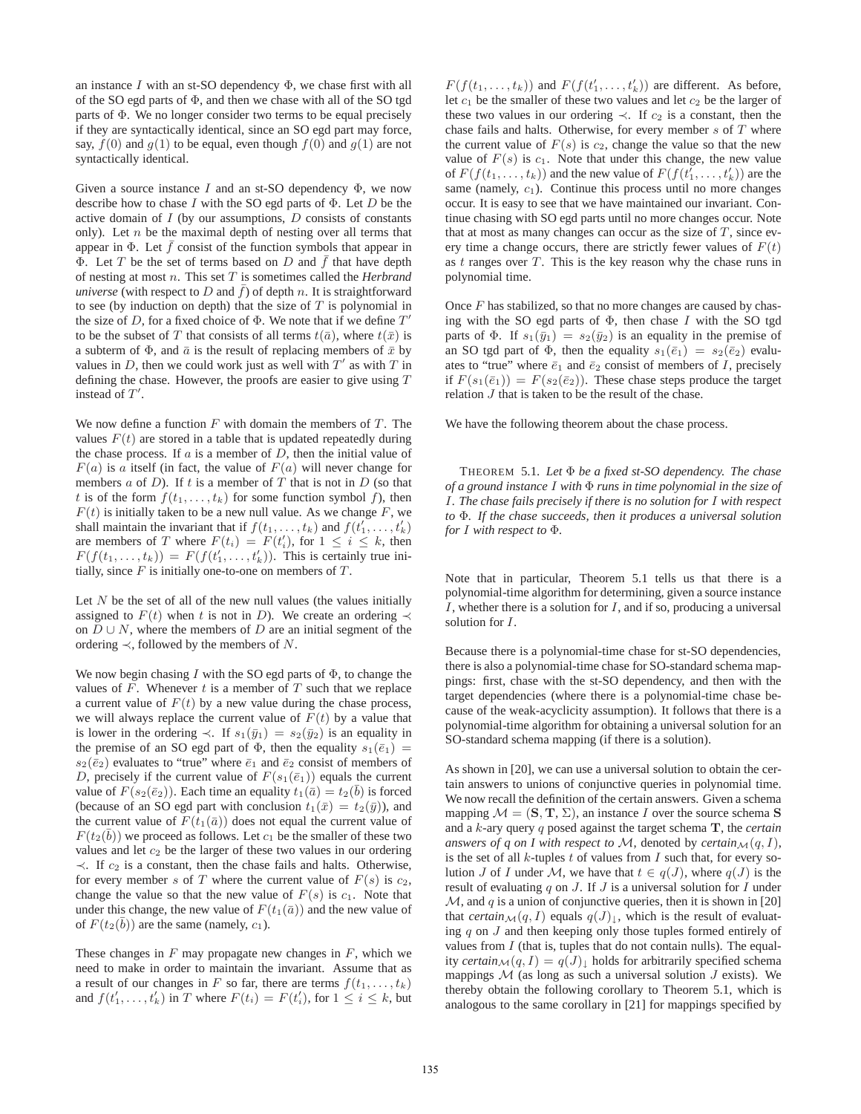an instance I with an st-SO dependency  $\Phi$ , we chase first with all of the SO egd parts of Φ, and then we chase with all of the SO tgd parts of Φ. We no longer consider two terms to be equal precisely if they are syntactically identical, since an SO egd part may force, say,  $f(0)$  and  $g(1)$  to be equal, even though  $f(0)$  and  $g(1)$  are not syntactically identical.

Given a source instance I and an st-SO dependency  $\Phi$ , we now describe how to chase I with the SO egd parts of  $\Phi$ . Let D be the active domain of  $I$  (by our assumptions,  $D$  consists of constants only). Let  $n$  be the maximal depth of nesting over all terms that appear in  $\Phi$ . Let  $\bar{f}$  consist of the function symbols that appear in  $Φ$ . Let T be the set of terms based on D and  $\bar{f}$  that have depth of nesting at most n. This set T is sometimes called the *Herbrand universe* (with respect to D and  $\bar{f}$ ) of depth n. It is straightforward to see (by induction on depth) that the size of  $T$  is polynomial in the size of D, for a fixed choice of  $\Phi$ . We note that if we define  $T'$ to be the subset of T that consists of all terms  $t(\bar{a})$ , where  $t(\bar{x})$  is a subterm of  $\Phi$ , and  $\bar{a}$  is the result of replacing members of  $\bar{x}$  by values in  $D$ , then we could work just as well with  $T'$  as with  $T$  in defining the chase. However, the proofs are easier to give using  $T$ instead of T'.

We now define a function  $F$  with domain the members of  $T$ . The values  $F(t)$  are stored in a table that is updated repeatedly during the chase process. If  $\alpha$  is a member of  $D$ , then the initial value of  $F(a)$  is a itself (in fact, the value of  $F(a)$  will never change for members  $a$  of  $D$ ). If  $t$  is a member of  $T$  that is not in  $D$  (so that t is of the form  $f(t_1, \ldots, t_k)$  for some function symbol f), then  $F(t)$  is initially taken to be a new null value. As we change F, we shall maintain the invariant that if  $f(t_1, \ldots, t_k)$  and  $f(t'_1, \ldots, t'_k)$ are members of T where  $F(t_i) = F(t'_i)$ , for  $1 \leq i \leq k$ , then  $F(f(t_1,...,t_k)) = F(f(t'_1,...,t'_k))$ . This is certainly true initially, since  $F$  is initially one-to-one on members of  $T$ .

Let  $N$  be the set of all of the new null values (the values initially assigned to  $F(t)$  when t is not in D). We create an ordering  $\prec$ on  $D \cup N$ , where the members of D are an initial segment of the ordering  $\prec$ , followed by the members of N.

We now begin chasing I with the SO egd parts of  $\Phi$ , to change the values of  $F$ . Whenever  $t$  is a member of  $T$  such that we replace a current value of  $F(t)$  by a new value during the chase process, we will always replace the current value of  $F(t)$  by a value that is lower in the ordering  $\prec$ . If  $s_1(\bar{y}_1) = s_2(\bar{y}_2)$  is an equality in the premise of an SO egd part of  $\Phi$ , then the equality  $s_1(\bar{e}_1)$  =  $s_2(\bar{e}_2)$  evaluates to "true" where  $\bar{e}_1$  and  $\bar{e}_2$  consist of members of D, precisely if the current value of  $F(s_1(\bar{e}_1))$  equals the current value of  $F(s_2(\bar{e}_2))$ . Each time an equality  $t_1(\bar{a}) = t_2(\bar{b})$  is forced (because of an SO egd part with conclusion  $t_1(\bar{x}) = t_2(\bar{y})$ ), and the current value of  $F(t_1(\bar{a}))$  does not equal the current value of  $F(t_2(\bar{b}))$  we proceed as follows. Let  $c_1$  be the smaller of these two values and let  $c_2$  be the larger of these two values in our ordering  $\prec$ . If  $c_2$  is a constant, then the chase fails and halts. Otherwise, for every member s of T where the current value of  $F(s)$  is  $c_2$ , change the value so that the new value of  $F(s)$  is  $c_1$ . Note that under this change, the new value of  $F(t_1(\bar{a}))$  and the new value of of  $F(t_2(\bar{b}))$  are the same (namely,  $c_1$ ).

These changes in  $F$  may propagate new changes in  $F$ , which we need to make in order to maintain the invariant. Assume that as a result of our changes in F so far, there are terms  $f(t_1, \ldots, t_k)$ and  $f(t'_1, \ldots, t'_k)$  in T where  $F(t_i) = F(t'_i)$ , for  $1 \le i \le k$ , but

 $F(f(t_1,...,t_k))$  and  $F(f(t'_1,...,t'_k))$  are different. As before, let  $c_1$  be the smaller of these two values and let  $c_2$  be the larger of these two values in our ordering  $\prec$ . If  $c_2$  is a constant, then the chase fails and halts. Otherwise, for every member  $s$  of  $T$  where the current value of  $F(s)$  is  $c_2$ , change the value so that the new value of  $F(s)$  is  $c_1$ . Note that under this change, the new value of  $F(f(t_1,...,t_k))$  and the new value of  $F(f(t'_1,...,t'_k))$  are the same (namely,  $c_1$ ). Continue this process until no more changes occur. It is easy to see that we have maintained our invariant. Continue chasing with SO egd parts until no more changes occur. Note that at most as many changes can occur as the size of  $T$ , since every time a change occurs, there are strictly fewer values of  $F(t)$ as  $t$  ranges over  $T$ . This is the key reason why the chase runs in polynomial time.

Once  $F$  has stabilized, so that no more changes are caused by chasing with the SO egd parts of  $\Phi$ , then chase I with the SO tgd parts of  $\Phi$ . If  $s_1(\bar{y}_1) = s_2(\bar{y}_2)$  is an equality in the premise of an SO tgd part of  $\Phi$ , then the equality  $s_1(\bar{e}_1) = s_2(\bar{e}_2)$  evaluates to "true" where  $\bar{e}_1$  and  $\bar{e}_2$  consist of members of I, precisely if  $F(s_1(\bar{e}_1)) = F(s_2(\bar{e}_2))$ . These chase steps produce the target relation J that is taken to be the result of the chase.

We have the following theorem about the chase process.

THEOREM 5.1. *Let* Φ *be a fixed st-SO dependency. The chase of a ground instance* I *with* Φ *runs in time polynomial in the size of* I*. The chase fails precisely if there is no solution for* I *with respect to* Φ*. If the chase succeeds, then it produces a universal solution for* I *with respect to* Φ*.*

Note that in particular, Theorem 5.1 tells us that there is a polynomial-time algorithm for determining, given a source instance  $I$ , whether there is a solution for  $I$ , and if so, producing a universal solution for I.

Because there is a polynomial-time chase for st-SO dependencies, there is also a polynomial-time chase for SO-standard schema mappings: first, chase with the st-SO dependency, and then with the target dependencies (where there is a polynomial-time chase because of the weak-acyclicity assumption). It follows that there is a polynomial-time algorithm for obtaining a universal solution for an SO-standard schema mapping (if there is a solution).

As shown in [20], we can use a universal solution to obtain the certain answers to unions of conjunctive queries in polynomial time. We now recall the definition of the certain answers. Given a schema mapping  $\mathcal{M} = (\mathbf{S}, \mathbf{T}, \Sigma)$ , an instance I over the source schema S and a k-ary query q posed against the target schema T, the *certain answers of q on I with respect to*  $M$ , denoted by *certain* $M(q, I)$ , is the set of all  $k$ -tuples  $t$  of values from  $I$  such that, for every solution J of I under M, we have that  $t \in q(J)$ , where  $q(J)$  is the result of evaluating  $q$  on  $J$ . If  $J$  is a universal solution for  $I$  under  $M$ , and q is a union of conjunctive queries, then it is shown in [20] that *certain* $\mathcal{M}(q, I)$  equals  $q(J)$ <sub>1</sub>, which is the result of evaluating  $q$  on  $J$  and then keeping only those tuples formed entirely of values from  $I$  (that is, tuples that do not contain nulls). The equality *certain* $\mathcal{M}(q, I) = q(J)$  holds for arbitrarily specified schema mappings  $M$  (as long as such a universal solution  $J$  exists). We thereby obtain the following corollary to Theorem 5.1, which is analogous to the same corollary in [21] for mappings specified by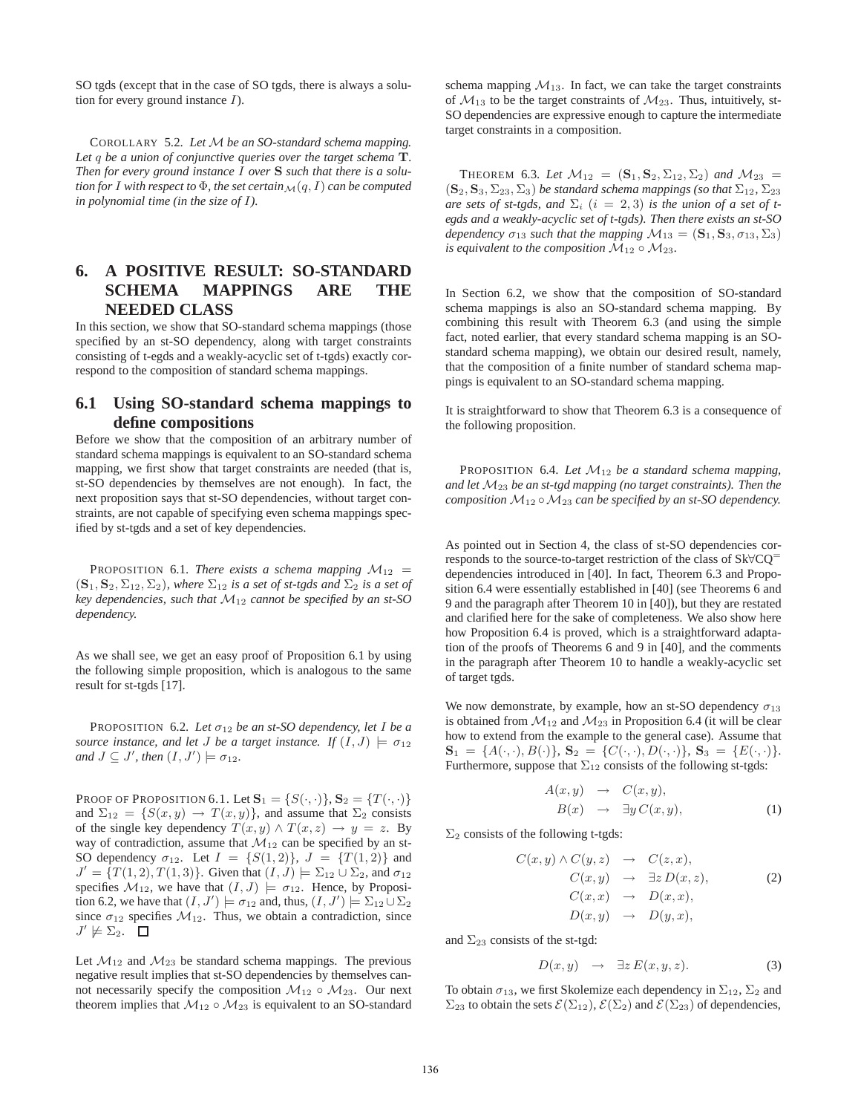SO tgds (except that in the case of SO tgds, there is always a solution for every ground instance  $I$ ).

COROLLARY 5.2. *Let* M *be an SO-standard schema mapping. Let* q *be a union of conjunctive queries over the target schema* T*. Then for every ground instance* I *over* S *such that there is a solution for* I with respect to  $\Phi$ *, the set certain* $\mathcal{M}(q, I)$  *can be computed in polynomial time (in the size of* I*).*

# **6. A POSITIVE RESULT: SO-STANDARD SCHEMA MAPPINGS ARE THE NEEDED CLASS**

In this section, we show that SO-standard schema mappings (those specified by an st-SO dependency, along with target constraints consisting of t-egds and a weakly-acyclic set of t-tgds) exactly correspond to the composition of standard schema mappings.

# **6.1 Using SO-standard schema mappings to define compositions**

Before we show that the composition of an arbitrary number of standard schema mappings is equivalent to an SO-standard schema mapping, we first show that target constraints are needed (that is, st-SO dependencies by themselves are not enough). In fact, the next proposition says that st-SO dependencies, without target constraints, are not capable of specifying even schema mappings specified by st-tgds and a set of key dependencies.

PROPOSITION 6.1. *There exists a schema mapping*  $M_{12}$  =  $({\bf S}_1, {\bf S}_2, \Sigma_{12}, \Sigma_2)$ *, where*  $\Sigma_{12}$  *is a set of st-tgds and*  $\Sigma_2$  *is a set of key dependencies, such that* M<sup>12</sup> *cannot be specified by an st-SO dependency.*

As we shall see, we get an easy proof of Proposition 6.1 by using the following simple proposition, which is analogous to the same result for st-tgds [17].

PROPOSITION 6.2. Let  $\sigma_{12}$  be an st-SO dependency, let I be a *source instance, and let J be a target instance. If*  $(I, J) \models \sigma_{12}$ *and*  $J \subseteq J'$ , *then*  $(I, J') \models \sigma_{12}$ *.* 

PROOF OF PROPOSITION 6.1. Let  $\mathbf{S}_1 = \{S(\cdot, \cdot)\}, \mathbf{S}_2 = \{T(\cdot, \cdot)\}$ and  $\Sigma_{12} = \{S(x, y) \rightarrow T(x, y)\}\$ , and assume that  $\Sigma_2$  consists of the single key dependency  $T(x,y) \wedge T(x,z) \rightarrow y = z$ . By way of contradiction, assume that  $\mathcal{M}_{12}$  can be specified by an st-SO dependency  $\sigma_{12}$ . Let  $I = \{S(1,2)\}, J = \{T(1,2)\}\$ and  $J' = \{T(1, 2), T(1, 3)\}\$ . Given that  $(I, J) \models \Sigma_{12} \cup \Sigma_2$ , and  $\sigma_{12}$ specifies  $\mathcal{M}_{12}$ , we have that  $(I, J) \models \sigma_{12}$ . Hence, by Proposition 6.2, we have that  $(I, J') \models \sigma_{12}$  and, thus,  $(I, J') \models \Sigma_{12} \cup \Sigma_2$ since  $\sigma_{12}$  specifies  $\mathcal{M}_{12}$ . Thus, we obtain a contradiction, since  $J' \not\models \Sigma_2.$ 

Let  $\mathcal{M}_{12}$  and  $\mathcal{M}_{23}$  be standard schema mappings. The previous negative result implies that st-SO dependencies by themselves cannot necessarily specify the composition  $\mathcal{M}_{12} \circ \mathcal{M}_{23}$ . Our next theorem implies that  $\mathcal{M}_{12} \circ \mathcal{M}_{23}$  is equivalent to an SO-standard schema mapping  $M_{13}$ . In fact, we can take the target constraints of  $\mathcal{M}_{13}$  to be the target constraints of  $\mathcal{M}_{23}$ . Thus, intuitively, st-SO dependencies are expressive enough to capture the intermediate target constraints in a composition.

THEOREM 6.3. Let  $M_{12} = (\mathbf{S}_1, \mathbf{S}_2, \Sigma_{12}, \Sigma_2)$  and  $M_{23} =$  $(\mathbf{S}_2, \mathbf{S}_3, \Sigma_{23}, \Sigma_3)$  *be standard schema mappings (so that*  $\Sigma_{12}$ ,  $\Sigma_{23}$ *are sets of st-tgds, and*  $\Sigma_i$  ( $i = 2, 3$ ) *is the union of a set of tegds and a weakly-acyclic set of t-tgds). Then there exists an st-SO dependency*  $\sigma_{13}$  *such that the mapping*  $M_{13} = (\mathbf{S}_1, \mathbf{S}_3, \sigma_{13}, \Sigma_3)$ *is equivalent to the composition*  $M_{12} \circ M_{23}$ *.* 

In Section 6.2, we show that the composition of SO-standard schema mappings is also an SO-standard schema mapping. By combining this result with Theorem 6.3 (and using the simple fact, noted earlier, that every standard schema mapping is an SOstandard schema mapping), we obtain our desired result, namely, that the composition of a finite number of standard schema mappings is equivalent to an SO-standard schema mapping.

It is straightforward to show that Theorem 6.3 is a consequence of the following proposition.

PROPOSITION 6.4. *Let* M<sup>12</sup> *be a standard schema mapping, and let* M<sup>23</sup> *be an st-tgd mapping (no target constraints). Then the composition* M<sup>12</sup> ◦M<sup>23</sup> *can be specified by an st-SO dependency.*

As pointed out in Section 4, the class of st-SO dependencies corresponds to the source-to-target restriction of the class of Sk∀CQ<sup>=</sup> dependencies introduced in [40]. In fact, Theorem 6.3 and Proposition 6.4 were essentially established in [40] (see Theorems 6 and 9 and the paragraph after Theorem 10 in [40]), but they are restated and clarified here for the sake of completeness. We also show here how Proposition 6.4 is proved, which is a straightforward adaptation of the proofs of Theorems 6 and 9 in [40], and the comments in the paragraph after Theorem 10 to handle a weakly-acyclic set of target tgds.

We now demonstrate, by example, how an st-SO dependency  $\sigma_{13}$ is obtained from  $\mathcal{M}_{12}$  and  $\mathcal{M}_{23}$  in Proposition 6.4 (it will be clear how to extend from the example to the general case). Assume that  $S_1 = \{A(\cdot, \cdot), B(\cdot)\}, S_2 = \{C(\cdot, \cdot), D(\cdot, \cdot)\}, S_3 = \{E(\cdot, \cdot)\}.$ Furthermore, suppose that  $\Sigma_{12}$  consists of the following st-tgds:

$$
A(x,y) \rightarrow C(x,y), \nB(x) \rightarrow \exists y \, C(x,y),
$$
\n(1)

 $\Sigma_2$  consists of the following t-tgds:

$$
C(x,y) \land C(y,z) \rightarrow C(z,x),
$$
  
\n
$$
C(x,y) \rightarrow \exists z D(x,z),
$$
  
\n
$$
C(x,x) \rightarrow D(x,x),
$$
  
\n
$$
D(x,y) \rightarrow D(y,x),
$$
  
\n(2)

and  $\Sigma_{23}$  consists of the st-tgd:

$$
D(x, y) \rightarrow \exists z E(x, y, z). \tag{3}
$$

To obtain  $\sigma_{13}$ , we first Skolemize each dependency in  $\Sigma_{12}$ ,  $\Sigma_2$  and  $\Sigma_{23}$  to obtain the sets  $\mathcal{E}(\Sigma_{12}), \mathcal{E}(\Sigma_2)$  and  $\mathcal{E}(\Sigma_{23})$  of dependencies,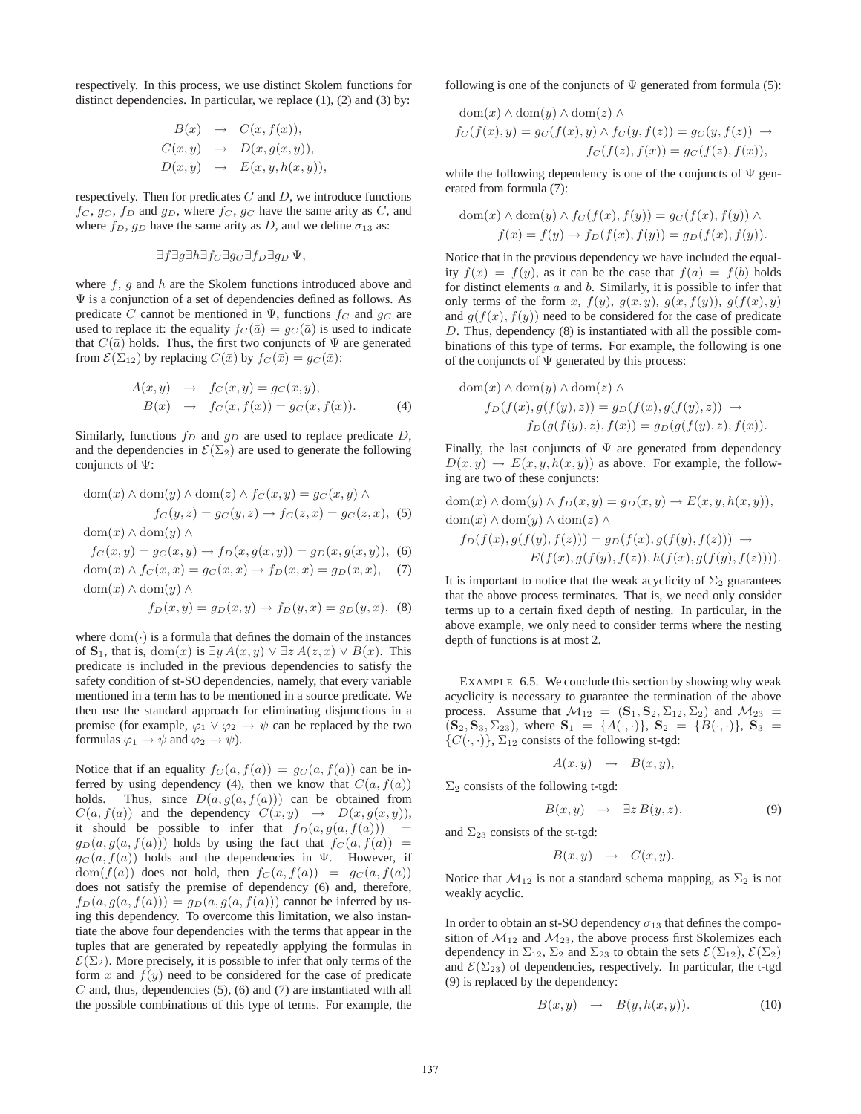respectively. In this process, we use distinct Skolem functions for distinct dependencies. In particular, we replace  $(1)$ ,  $(2)$  and  $(3)$  by:

$$
B(x) \rightarrow C(x, f(x)),
$$
  
\n
$$
C(x,y) \rightarrow D(x, g(x,y)),
$$
  
\n
$$
D(x,y) \rightarrow E(x, y, h(x,y)),
$$

respectively. Then for predicates  $C$  and  $D$ , we introduce functions  $f_C$ ,  $g_C$ ,  $f_D$  and  $g_D$ , where  $f_C$ ,  $g_C$  have the same arity as C, and where  $f_D$ ,  $g_D$  have the same arity as D, and we define  $\sigma_{13}$  as:

$$
\exists f \exists g \exists h \exists f_C \exists g_C \exists f_D \exists g_D \Psi,
$$

where  $f$ ,  $g$  and  $h$  are the Skolem functions introduced above and  $\Psi$  is a conjunction of a set of dependencies defined as follows. As predicate C cannot be mentioned in  $\Psi$ , functions  $f_C$  and  $g_C$  are used to replace it: the equality  $f_C(\bar{a}) = g_C(\bar{a})$  is used to indicate that  $C(\bar{a})$  holds. Thus, the first two conjuncts of  $\Psi$  are generated from  $\mathcal{E}(\Sigma_{12})$  by replacing  $C(\bar{x})$  by  $f_C(\bar{x}) = g_C(\bar{x})$ :

$$
A(x,y) \rightarrow f_C(x,y) = g_C(x,y),
$$
  
\n
$$
B(x) \rightarrow f_C(x,f(x)) = g_C(x,f(x)).
$$
 (4)

Similarly, functions  $f_D$  and  $g_D$  are used to replace predicate  $D$ , and the dependencies in  $\mathcal{E}(\Sigma_2)$  are used to generate the following conjuncts of Ψ:

$$
dom(x) \land dom(y) \land dom(z) \land f_C(x, y) = g_C(x, y) \land f_C(y, z) = g_C(y, z) \rightarrow f_C(z, x) = g_C(z, x),
$$
 (5)  

$$
dom(x) \land dom(y) \land
$$

$$
f_C(x,y) = g_C(x,y) \to f_D(x,g(x,y)) = g_D(x,g(x,y)), \tag{6}
$$

dom(x)  $\land f_C(x, x) = g_C(x, x) \rightarrow f_D(x, x) = g_D(x, x),$  (7) dom $(x) \wedge$ dom $(y) \wedge$ 

$$
f_D(x,y) = g_D(x,y) \to f_D(y,x) = g_D(y,x), \tag{8}
$$

where  $dom(\cdot)$  is a formula that defines the domain of the instances of  $S_1$ , that is, dom $(x)$  is  $\exists y \, A(x,y) \vee \exists z \, A(z,x) \vee B(x)$ . This predicate is included in the previous dependencies to satisfy the safety condition of st-SO dependencies, namely, that every variable mentioned in a term has to be mentioned in a source predicate. We then use the standard approach for eliminating disjunctions in a premise (for example,  $\varphi_1 \lor \varphi_2 \to \psi$  can be replaced by the two formulas  $\varphi_1 \rightarrow \psi$  and  $\varphi_2 \rightarrow \psi$ ).

Notice that if an equality  $f_C(a, f(a)) = g_C(a, f(a))$  can be inferred by using dependency (4), then we know that  $C(a, f(a))$ holds. Thus, since  $D(a, g(a, f(a)))$  can be obtained from  $C(a, f(a))$  and the dependency  $C(x, y) \rightarrow D(x, g(x, y)),$ it should be possible to infer that  $f_D(a, g(a, f(a)))$  =  $g_D(a, g(a, f(a)))$  holds by using the fact that  $f_C(a, f(a)) =$  $g_C(a, f(a))$  holds and the dependencies in Ψ. However, if dom $(f(a))$  does not hold, then  $f_C(a, f(a)) = g_C(a, f(a))$ does not satisfy the premise of dependency (6) and, therefore,  $f_D(a, g(a, f(a))) = g_D(a, g(a, f(a)))$  cannot be inferred by using this dependency. To overcome this limitation, we also instantiate the above four dependencies with the terms that appear in the tuples that are generated by repeatedly applying the formulas in  $\mathcal{E}(\Sigma_2)$ . More precisely, it is possible to infer that only terms of the form x and  $f(y)$  need to be considered for the case of predicate  $C$  and, thus, dependencies (5), (6) and (7) are instantiated with all the possible combinations of this type of terms. For example, the

following is one of the conjuncts of  $\Psi$  generated from formula (5):

$$
dom(x) \land dom(y) \land dom(z) \land fc(f(x), y) = gc(f(x), y) \land fc(y, f(z)) = gc(y, f(z)) \rightarrow fc(f(z), f(x)) = gc(f(z), f(x)),
$$

while the following dependency is one of the conjuncts of  $\Psi$  generated from formula (7):

$$
dom(x) \land dom(y) \land f_C(f(x), f(y)) = g_C(f(x), f(y)) \land f(x) = f(y) \rightarrow f_D(f(x), f(y)) = g_D(f(x), f(y)).
$$

Notice that in the previous dependency we have included the equality  $f(x) = f(y)$ , as it can be the case that  $f(a) = f(b)$  holds for distinct elements  $a$  and  $b$ . Similarly, it is possible to infer that only terms of the form x,  $f(y)$ ,  $g(x, y)$ ,  $g(x, f(y))$ ,  $g(f(x), y)$ and  $g(f(x),f(y))$  need to be considered for the case of predicate D. Thus, dependency (8) is instantiated with all the possible combinations of this type of terms. For example, the following is one of the conjuncts of  $\Psi$  generated by this process:

$$
dom(x) \land dom(y) \land dom(z) \land \nfp(f(x), g(f(y), z)) = g_D(f(x), g(f(y), z)) \rightarrow \nfp(g(f(y), z), f(x)) = g_D(g(f(y), z), f(x)).
$$

Finally, the last conjuncts of  $\Psi$  are generated from dependency  $D(x, y) \rightarrow E(x, y, h(x, y))$  as above. For example, the following are two of these conjuncts:

 $dom(x) \wedge dom(y) \wedge f_D(x,y) = g_D(x,y) \rightarrow E(x,y,h(x,y)),$  $dom(x) \wedge dom(y) \wedge dom(z) \wedge$ 

$$
f_D(f(x), g(f(y), f(z))) = g_D(f(x), g(f(y), f(z))) \to
$$
  

$$
E(f(x), g(f(y), f(z)), h(f(x), g(f(y), f(z))))
$$
.

It is important to notice that the weak acyclicity of  $\Sigma_2$  guarantees that the above process terminates. That is, we need only consider terms up to a certain fixed depth of nesting. In particular, in the above example, we only need to consider terms where the nesting depth of functions is at most 2.

EXAMPLE 6.5. We conclude this section by showing why weak acyclicity is necessary to guarantee the termination of the above process. Assume that  $\mathcal{M}_{12} = (\mathbf{S}_1, \mathbf{S}_2, \Sigma_{12}, \Sigma_2)$  and  $\mathcal{M}_{23} =$  $(S_2, S_3, \Sigma_{23})$ , where  $S_1 = \{A(\cdot, \cdot)\}, S_2 = \{B(\cdot, \cdot)\}, S_3 =$  $\{C(\cdot,\cdot)\}, \Sigma_{12}$  consists of the following st-tgd:

$$
A(x,y) \rightarrow B(x,y),
$$

 $\Sigma_2$  consists of the following t-tgd:

$$
B(x, y) \rightarrow \exists z B(y, z), \tag{9}
$$

and  $\Sigma_{23}$  consists of the st-tgd:

$$
B(x, y) \rightarrow C(x, y).
$$

Notice that  $\mathcal{M}_{12}$  is not a standard schema mapping, as  $\Sigma_2$  is not weakly acyclic.

In order to obtain an st-SO dependency  $\sigma_{13}$  that defines the composition of  $\mathcal{M}_{12}$  and  $\mathcal{M}_{23}$ , the above process first Skolemizes each dependency in  $\Sigma_{12}$ ,  $\Sigma_2$  and  $\Sigma_{23}$  to obtain the sets  $\mathcal{E}(\Sigma_{12})$ ,  $\mathcal{E}(\Sigma_2)$ and  $\mathcal{E}(\Sigma_{23})$  of dependencies, respectively. In particular, the t-tgd (9) is replaced by the dependency:

$$
B(x, y) \rightarrow B(y, h(x, y)). \tag{10}
$$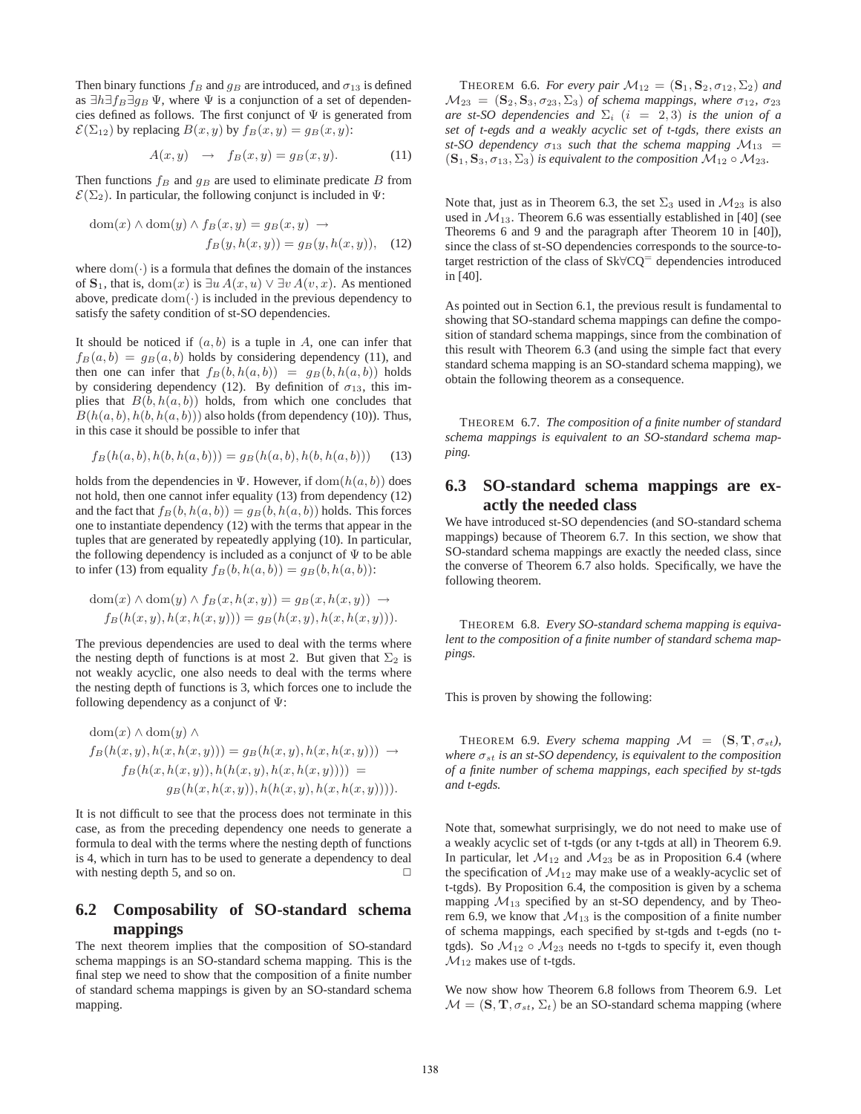Then binary functions  $f_B$  and  $g_B$  are introduced, and  $\sigma_{13}$  is defined as  $\exists h \exists f_B \exists q_B \Psi$ , where  $\Psi$  is a conjunction of a set of dependencies defined as follows. The first conjunct of  $\Psi$  is generated from  $\mathcal{E}(\Sigma_{12})$  by replacing  $B(x, y)$  by  $f_B(x, y) = q_B(x, y)$ :

$$
A(x, y) \rightarrow f_B(x, y) = g_B(x, y). \tag{11}
$$

Then functions  $f_B$  and  $g_B$  are used to eliminate predicate  $B$  from  $\mathcal{E}(\Sigma_2)$ . In particular, the following conjunct is included in  $\Psi$ :

$$
dom(x) \land dom(y) \land f_B(x, y) = g_B(x, y) \rightarrow
$$
  

$$
f_B(y, h(x, y)) = g_B(y, h(x, y)), \quad (12)
$$

where  $\text{dom}(\cdot)$  is a formula that defines the domain of the instances of  $S_1$ , that is,  $dom(x)$  is  $\exists u A(x, u) \vee \exists v A(v, x)$ . As mentioned above, predicate  $dom(\cdot)$  is included in the previous dependency to satisfy the safety condition of st-SO dependencies.

It should be noticed if  $(a, b)$  is a tuple in A, one can infer that  $f_B(a, b) = g_B(a, b)$  holds by considering dependency (11), and then one can infer that  $f_B(b, h(a, b)) = g_B(b, h(a, b))$  holds by considering dependency (12). By definition of  $\sigma_{13}$ , this implies that  $B(b, h(a, b))$  holds, from which one concludes that  $B(h(a, b), h(b, h(a, b)))$  also holds (from dependency (10)). Thus, in this case it should be possible to infer that

$$
f_B(h(a, b), h(b, h(a, b))) = g_B(h(a, b), h(b, h(a, b))) \tag{13}
$$

holds from the dependencies in  $\Psi$ . However, if  $dom(h(a, b))$  does not hold, then one cannot infer equality (13) from dependency (12) and the fact that  $f_B(b, h(a, b)) = g_B(b, h(a, b))$  holds. This forces one to instantiate dependency (12) with the terms that appear in the tuples that are generated by repeatedly applying (10). In particular, the following dependency is included as a conjunct of  $\Psi$  to be able to infer (13) from equality  $f_B(b, h(a, b)) = g_B(b, h(a, b))$ :

$$
dom(x) \land dom(y) \land f_B(x, h(x, y)) = g_B(x, h(x, y)) \rightarrow
$$
  

$$
f_B(h(x, y), h(x, h(x, y))) = g_B(h(x, y), h(x, h(x, y))).
$$

The previous dependencies are used to deal with the terms where the nesting depth of functions is at most 2. But given that  $\Sigma_2$  is not weakly acyclic, one also needs to deal with the terms where the nesting depth of functions is 3, which forces one to include the following dependency as a conjunct of Ψ:

$$
dom(x) \wedge dom(y) \wedge
$$
  
\n
$$
f_B(h(x, y), h(x, h(x, y))) = g_B(h(x, y), h(x, h(x, y))) \rightarrow
$$
  
\n
$$
f_B(h(x, h(x, y)), h(h(x, y), h(x, h(x, y)))) =
$$
  
\n
$$
g_B(h(x, h(x, y)), h(h(x, y), h(x, h(x, y))))
$$

It is not difficult to see that the process does not terminate in this case, as from the preceding dependency one needs to generate a formula to deal with the terms where the nesting depth of functions is 4, which in turn has to be used to generate a dependency to deal with nesting depth 5, and so on.  $\Box$ 

# **6.2 Composability of SO-standard schema mappings**

The next theorem implies that the composition of SO-standard schema mappings is an SO-standard schema mapping. This is the final step we need to show that the composition of a finite number of standard schema mappings is given by an SO-standard schema mapping.

THEOREM 6.6. *For every pair*  $M_{12} = (\mathbf{S}_1, \mathbf{S}_2, \sigma_{12}, \Sigma_2)$  and  $M_{23} = (S_2, S_3, \sigma_{23}, \Sigma_3)$  *of schema mappings, where*  $\sigma_{12}$ ,  $\sigma_{23}$ *are st-SO dependencies and*  $\Sigma_i$  (i = 2,3) *is the union of a set of t-egds and a weakly acyclic set of t-tgds, there exists an st-SO dependency*  $\sigma_{13}$  *such that the schema mapping*  $M_{13}$  =  $(S_1, S_3, \sigma_{13}, \Sigma_3)$  *is equivalent to the composition*  $\mathcal{M}_{12} \circ \mathcal{M}_{23}$ *.* 

Note that, just as in Theorem 6.3, the set  $\Sigma_3$  used in  $\mathcal{M}_{23}$  is also used in  $M_{13}$ . Theorem 6.6 was essentially established in [40] (see Theorems 6 and 9 and the paragraph after Theorem 10 in [40]), since the class of st-SO dependencies corresponds to the source-totarget restriction of the class of Sk∀CQ<sup>=</sup> dependencies introduced in [40].

As pointed out in Section 6.1, the previous result is fundamental to showing that SO-standard schema mappings can define the composition of standard schema mappings, since from the combination of this result with Theorem 6.3 (and using the simple fact that every standard schema mapping is an SO-standard schema mapping), we obtain the following theorem as a consequence.

THEOREM 6.7. *The composition of a finite number of standard schema mappings is equivalent to an SO-standard schema mapping.*

# **6.3 SO-standard schema mappings are exactly the needed class**

We have introduced st-SO dependencies (and SO-standard schema mappings) because of Theorem 6.7. In this section, we show that SO-standard schema mappings are exactly the needed class, since the converse of Theorem 6.7 also holds. Specifically, we have the following theorem.

THEOREM 6.8. *Every SO-standard schema mapping is equivalent to the composition of a finite number of standard schema mappings.*

This is proven by showing the following:

THEOREM 6.9. *Every schema mapping*  $M = (\mathbf{S}, \mathbf{T}, \sigma_{st})$ , *where*  $\sigma_{st}$  *is an st-SO dependency, is equivalent to the composition of a finite number of schema mappings, each specified by st-tgds and t-egds.*

Note that, somewhat surprisingly, we do not need to make use of a weakly acyclic set of t-tgds (or any t-tgds at all) in Theorem 6.9. In particular, let  $\mathcal{M}_{12}$  and  $\mathcal{M}_{23}$  be as in Proposition 6.4 (where the specification of  $\mathcal{M}_{12}$  may make use of a weakly-acyclic set of t-tgds). By Proposition 6.4, the composition is given by a schema mapping  $\mathcal{M}_{13}$  specified by an st-SO dependency, and by Theorem 6.9, we know that  $\mathcal{M}_{13}$  is the composition of a finite number of schema mappings, each specified by st-tgds and t-egds (no ttgds). So  $M_{12} \circ M_{23}$  needs no t-tgds to specify it, even though  $\mathcal{M}_{12}$  makes use of t-tgds.

We now show how Theorem 6.8 follows from Theorem 6.9. Let  $\mathcal{M} = (\mathbf{S}, \mathbf{T}, \sigma_{st}, \Sigma_t)$  be an SO-standard schema mapping (where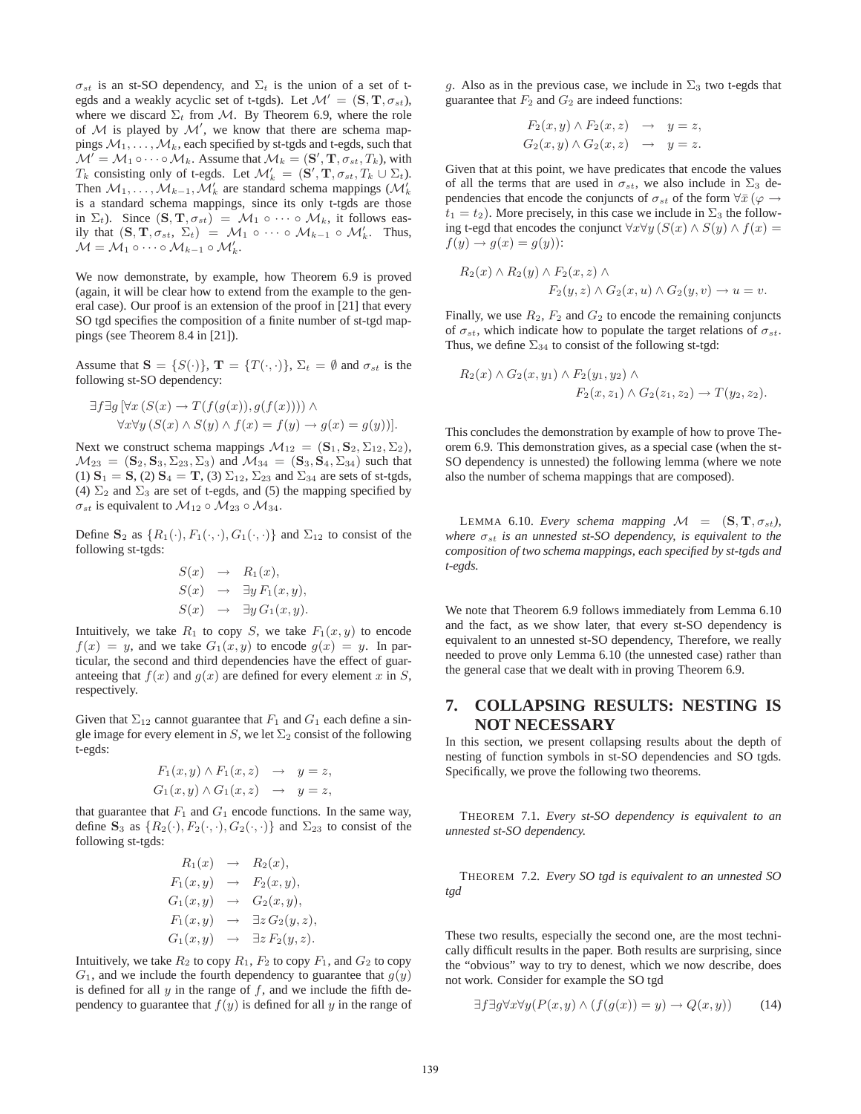$\sigma_{st}$  is an st-SO dependency, and  $\Sigma_t$  is the union of a set of tegds and a weakly acyclic set of t-tgds). Let  $\mathcal{M}' = (\mathbf{S}, \mathbf{T}, \sigma_{st})$ , where we discard  $\Sigma_t$  from M. By Theorem 6.9, where the role of  $M$  is played by  $M'$ , we know that there are schema mappings  $\mathcal{M}_1, \ldots, \mathcal{M}_k$ , each specified by st-tgds and t-egds, such that  $\mathcal{M}'=\mathcal{M}_1\circ\cdots\circ\mathcal{M}_k$ . Assume that  $\mathcal{M}_k=(\mathbf{S}',\mathbf{T},\sigma_{st},T_k)$ , with  $T_k$  consisting only of t-egds. Let  $\mathcal{M}'_k = (\mathbf{S}', \mathbf{T}, \sigma_{st}, T_k \cup \Sigma_t)$ . Then  $\mathcal{M}_1, \ldots, \mathcal{M}_{k-1}, \mathcal{M}'_k$  are standard schema mappings  $(\mathcal{M}'_k)$ is a standard schema mappings, since its only t-tgds are those in  $\Sigma_t$ ). Since  $(\mathbf{S}, \mathbf{T}, \sigma_{st}) = \mathcal{M}_1 \circ \cdots \circ \mathcal{M}_k$ , it follows easily that  $(\mathbf{S}, \mathbf{T}, \sigma_{st}, \Sigma_t) = \mathcal{M}_1 \circ \cdots \circ \mathcal{M}_{k-1} \circ \mathcal{M}'_k$ . Thus,  $\mathcal{M} = \mathcal{M}_1 \circ \cdots \circ \mathcal{M}_{k-1} \circ \mathcal{M}'_k.$ 

We now demonstrate, by example, how Theorem 6.9 is proved (again, it will be clear how to extend from the example to the general case). Our proof is an extension of the proof in [21] that every SO tgd specifies the composition of a finite number of st-tgd mappings (see Theorem 8.4 in [21]).

Assume that  $S = \{S(\cdot)\}\$ ,  $T = \{T(\cdot, \cdot)\}\$ ,  $\Sigma_t = \emptyset$  and  $\sigma_{st}$  is the following st-SO dependency:

$$
\exists f \exists g \left[ \forall x \left( S(x) \to T(f(g(x)), g(f(x))) \right) \land \forall x \forall y \left( S(x) \land S(y) \land f(x) = f(y) \to g(x) = g(y) \right) \right].
$$

Next we construct schema mappings  $\mathcal{M}_{12} = (\mathbf{S}_1, \mathbf{S}_2, \Sigma_{12}, \Sigma_2),$  $M_{23} = (\mathbf{S}_2, \mathbf{S}_3, \Sigma_{23}, \Sigma_3)$  and  $M_{34} = (\mathbf{S}_3, \mathbf{S}_4, \Sigma_{34})$  such that (1)  $S_1 = S$ , (2)  $S_4 = T$ , (3)  $\Sigma_{12}$ ,  $\Sigma_{23}$  and  $\Sigma_{34}$  are sets of st-tgds, (4)  $\Sigma_2$  and  $\Sigma_3$  are set of t-egds, and (5) the mapping specified by  $\sigma_{st}$  is equivalent to  $\mathcal{M}_{12} \circ \mathcal{M}_{23} \circ \mathcal{M}_{34}$ .

Define  $S_2$  as  $\{R_1(\cdot), F_1(\cdot, \cdot), G_1(\cdot, \cdot)\}\$  and  $\Sigma_{12}$  to consist of the following st-tgds:

$$
S(x) \rightarrow R_1(x),
$$
  
\n
$$
S(x) \rightarrow \exists y F_1(x, y),
$$
  
\n
$$
S(x) \rightarrow \exists y G_1(x, y).
$$

Intuitively, we take  $R_1$  to copy S, we take  $F_1(x, y)$  to encode  $f(x) = y$ , and we take  $G_1(x, y)$  to encode  $g(x) = y$ . In particular, the second and third dependencies have the effect of guaranteeing that  $f(x)$  and  $g(x)$  are defined for every element x in S, respectively.

Given that  $\Sigma_{12}$  cannot guarantee that  $F_1$  and  $G_1$  each define a single image for every element in S, we let  $\Sigma_2$  consist of the following t-egds:

$$
F_1(x, y) \wedge F_1(x, z) \rightarrow y = z,
$$
  
\n
$$
G_1(x, y) \wedge G_1(x, z) \rightarrow y = z,
$$

that guarantee that  $F_1$  and  $G_1$  encode functions. In the same way, define  $\mathbf{S}_3$  as  $\{R_2(\cdot), F_2(\cdot, \cdot), G_2(\cdot, \cdot)\}\$  and  $\Sigma_{23}$  to consist of the following st-tgds:

$$
R_1(x) \rightarrow R_2(x),
$$
  
\n
$$
F_1(x, y) \rightarrow F_2(x, y),
$$
  
\n
$$
G_1(x, y) \rightarrow G_2(x, y),
$$
  
\n
$$
F_1(x, y) \rightarrow \exists z G_2(y, z),
$$
  
\n
$$
G_1(x, y) \rightarrow \exists z F_2(y, z).
$$

Intuitively, we take  $R_2$  to copy  $R_1$ ,  $F_2$  to copy  $F_1$ , and  $G_2$  to copy  $G_1$ , and we include the fourth dependency to guarantee that  $g(y)$ is defined for all  $y$  in the range of  $f$ , and we include the fifth dependency to guarantee that  $f(y)$  is defined for all y in the range of q. Also as in the previous case, we include in  $\Sigma_3$  two t-egds that guarantee that  $F_2$  and  $G_2$  are indeed functions:

$$
F_2(x, y) \wedge F_2(x, z) \rightarrow y = z,
$$
  
\n
$$
G_2(x, y) \wedge G_2(x, z) \rightarrow y = z.
$$

Given that at this point, we have predicates that encode the values of all the terms that are used in  $\sigma_{st}$ , we also include in  $\Sigma_3$  dependencies that encode the conjuncts of  $\sigma_{st}$  of the form  $\forall \bar{x}$  ( $\varphi \rightarrow$  $t_1 = t_2$ ). More precisely, in this case we include in  $\Sigma_3$  the following t-egd that encodes the conjunct  $\forall x \forall y (S(x) \land S(y) \land f(x))$  $f(y) \rightarrow g(x) = g(y)$ :

$$
R_2(x) \wedge R_2(y) \wedge F_2(x, z) \wedge
$$
  
 
$$
F_2(y, z) \wedge G_2(x, u) \wedge G_2(y, v) \rightarrow u = v.
$$

Finally, we use  $R_2$ ,  $F_2$  and  $G_2$  to encode the remaining conjuncts of  $\sigma_{st}$ , which indicate how to populate the target relations of  $\sigma_{st}$ . Thus, we define  $\Sigma_{34}$  to consist of the following st-tgd:

$$
R_2(x) \wedge G_2(x, y_1) \wedge F_2(y_1, y_2) \wedge F_2(x, z_1) \wedge G_2(z_1, z_2) \to T(y_2, z_2).
$$

This concludes the demonstration by example of how to prove Theorem 6.9. This demonstration gives, as a special case (when the st-SO dependency is unnested) the following lemma (where we note also the number of schema mappings that are composed).

LEMMA 6.10. *Every schema mapping*  $\mathcal{M} = (\mathbf{S}, \mathbf{T}, \sigma_{st})$ , *where*  $\sigma_{st}$  *is an unnested st-SO dependency, is equivalent to the composition of two schema mappings, each specified by st-tgds and t-egds.*

We note that Theorem 6.9 follows immediately from Lemma 6.10 and the fact, as we show later, that every st-SO dependency is equivalent to an unnested st-SO dependency, Therefore, we really needed to prove only Lemma 6.10 (the unnested case) rather than the general case that we dealt with in proving Theorem 6.9.

# **7. COLLAPSING RESULTS: NESTING IS NOT NECESSARY**

In this section, we present collapsing results about the depth of nesting of function symbols in st-SO dependencies and SO tgds. Specifically, we prove the following two theorems.

THEOREM 7.1. *Every st-SO dependency is equivalent to an unnested st-SO dependency.*

THEOREM 7.2. *Every SO tgd is equivalent to an unnested SO tgd*

These two results, especially the second one, are the most technically difficult results in the paper. Both results are surprising, since the "obvious" way to try to denest, which we now describe, does not work. Consider for example the SO tgd

$$
\exists f \exists g \forall x \forall y (P(x, y) \land (f(g(x))) = y) \rightarrow Q(x, y)) \tag{14}
$$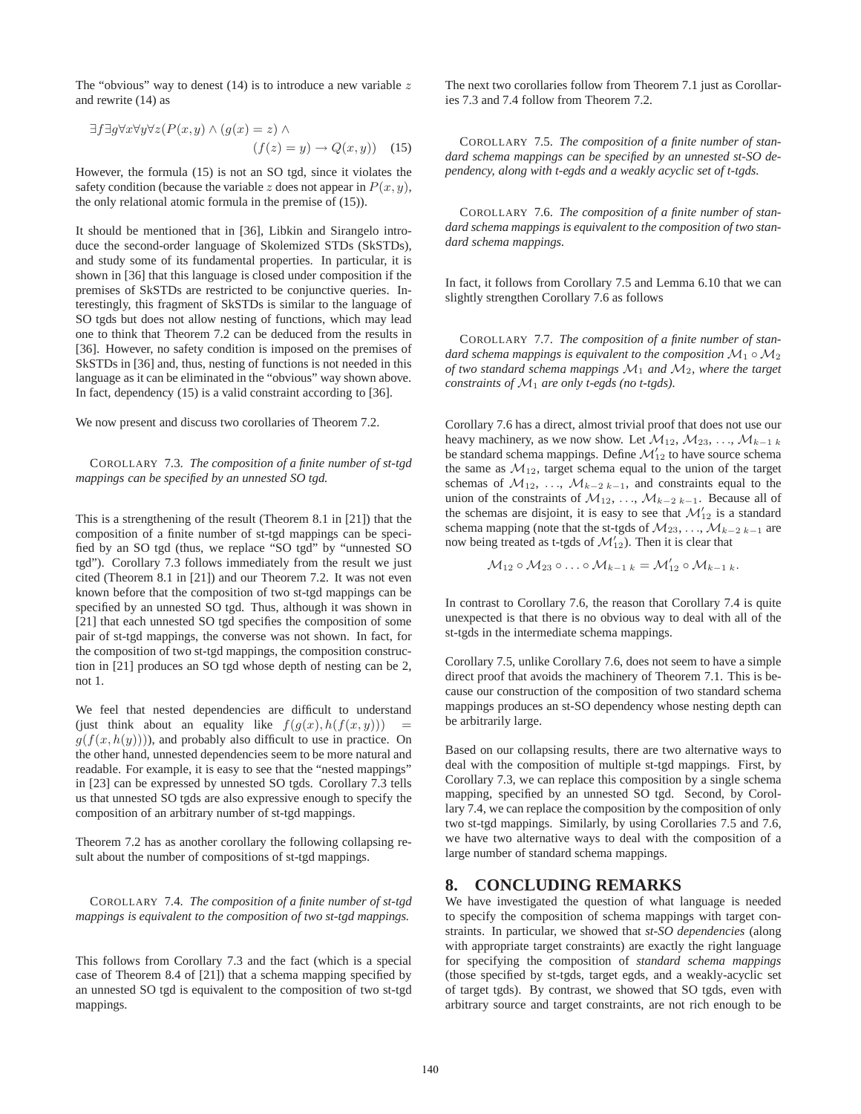The "obvious" way to denest  $(14)$  is to introduce a new variable z and rewrite (14) as

$$
\exists f \exists g \forall x \forall y \forall z (P(x, y) \land (g(x) = z) \land (f(z) = y) \rightarrow Q(x, y))
$$
(15)

However, the formula (15) is not an SO tgd, since it violates the safety condition (because the variable z does not appear in  $P(x, y)$ , the only relational atomic formula in the premise of (15)).

It should be mentioned that in [36], Libkin and Sirangelo introduce the second-order language of Skolemized STDs (SkSTDs), and study some of its fundamental properties. In particular, it is shown in [36] that this language is closed under composition if the premises of SkSTDs are restricted to be conjunctive queries. Interestingly, this fragment of SkSTDs is similar to the language of SO tgds but does not allow nesting of functions, which may lead one to think that Theorem 7.2 can be deduced from the results in [36]. However, no safety condition is imposed on the premises of SkSTDs in [36] and, thus, nesting of functions is not needed in this language as it can be eliminated in the "obvious" way shown above. In fact, dependency (15) is a valid constraint according to [36].

We now present and discuss two corollaries of Theorem 7.2.

COROLLARY 7.3. *The composition of a finite number of st-tgd mappings can be specified by an unnested SO tgd.*

This is a strengthening of the result (Theorem 8.1 in [21]) that the composition of a finite number of st-tgd mappings can be specified by an SO tgd (thus, we replace "SO tgd" by "unnested SO tgd"). Corollary 7.3 follows immediately from the result we just cited (Theorem 8.1 in [21]) and our Theorem 7.2. It was not even known before that the composition of two st-tgd mappings can be specified by an unnested SO tgd. Thus, although it was shown in [21] that each unnested SO tgd specifies the composition of some pair of st-tgd mappings, the converse was not shown. In fact, for the composition of two st-tgd mappings, the composition construction in [21] produces an SO tgd whose depth of nesting can be 2, not 1.

We feel that nested dependencies are difficult to understand (just think about an equality like  $f(g(x), h(f(x, y))) =$  $g(f(x,h(y))))$ , and probably also difficult to use in practice. On the other hand, unnested dependencies seem to be more natural and readable. For example, it is easy to see that the "nested mappings" in [23] can be expressed by unnested SO tgds. Corollary 7.3 tells us that unnested SO tgds are also expressive enough to specify the composition of an arbitrary number of st-tgd mappings.

Theorem 7.2 has as another corollary the following collapsing result about the number of compositions of st-tgd mappings.

COROLLARY 7.4. *The composition of a finite number of st-tgd mappings is equivalent to the composition of two st-tgd mappings.*

This follows from Corollary 7.3 and the fact (which is a special case of Theorem 8.4 of [21]) that a schema mapping specified by an unnested SO tgd is equivalent to the composition of two st-tgd mappings.

The next two corollaries follow from Theorem 7.1 just as Corollaries 7.3 and 7.4 follow from Theorem 7.2.

COROLLARY 7.5. *The composition of a finite number of standard schema mappings can be specified by an unnested st-SO dependency, along with t-egds and a weakly acyclic set of t-tgds.*

COROLLARY 7.6. *The composition of a finite number of standard schema mappings is equivalent to the composition of two standard schema mappings.*

In fact, it follows from Corollary 7.5 and Lemma 6.10 that we can slightly strengthen Corollary 7.6 as follows

COROLLARY 7.7. *The composition of a finite number of standard schema mappings is equivalent to the composition*  $M_1 \circ M_2$ *of two standard schema mappings* M<sup>1</sup> *and* M2*, where the target constraints of* M<sup>1</sup> *are only t-egds (no t-tgds).*

Corollary 7.6 has a direct, almost trivial proof that does not use our heavy machinery, as we now show. Let  $\mathcal{M}_{12}, \mathcal{M}_{23}, \ldots, \mathcal{M}_{k-1,k}$ be standard schema mappings. Define  $\mathcal{M}'_{12}$  to have source schema the same as  $M_{12}$ , target schema equal to the union of the target schemas of  $M_{12}$ , ...,  $M_{k-2,k-1}$ , and constraints equal to the union of the constraints of  $M_{12}, \ldots, M_{k-2\ k-1}$ . Because all of the schemas are disjoint, it is easy to see that  $\mathcal{M}'_{12}$  is a standard schema mapping (note that the st-tgds of  $M_{23}, \ldots, M_{k-2,k-1}$  are now being treated as t-tgds of  $\mathcal{M}'_{12}$ ). Then it is clear that

$$
\mathcal{M}_{12}\circ\mathcal{M}_{23}\circ\ldots\circ\mathcal{M}_{k-1 k}=\mathcal{M}'_{12}\circ\mathcal{M}_{k-1 k}.
$$

In contrast to Corollary 7.6, the reason that Corollary 7.4 is quite unexpected is that there is no obvious way to deal with all of the st-tgds in the intermediate schema mappings.

Corollary 7.5, unlike Corollary 7.6, does not seem to have a simple direct proof that avoids the machinery of Theorem 7.1. This is because our construction of the composition of two standard schema mappings produces an st-SO dependency whose nesting depth can be arbitrarily large.

Based on our collapsing results, there are two alternative ways to deal with the composition of multiple st-tgd mappings. First, by Corollary 7.3, we can replace this composition by a single schema mapping, specified by an unnested SO tgd. Second, by Corollary 7.4, we can replace the composition by the composition of only two st-tgd mappings. Similarly, by using Corollaries 7.5 and 7.6, we have two alternative ways to deal with the composition of a large number of standard schema mappings.

## **8. CONCLUDING REMARKS**

We have investigated the question of what language is needed to specify the composition of schema mappings with target constraints. In particular, we showed that *st-SO dependencies* (along with appropriate target constraints) are exactly the right language for specifying the composition of *standard schema mappings* (those specified by st-tgds, target egds, and a weakly-acyclic set of target tgds). By contrast, we showed that SO tgds, even with arbitrary source and target constraints, are not rich enough to be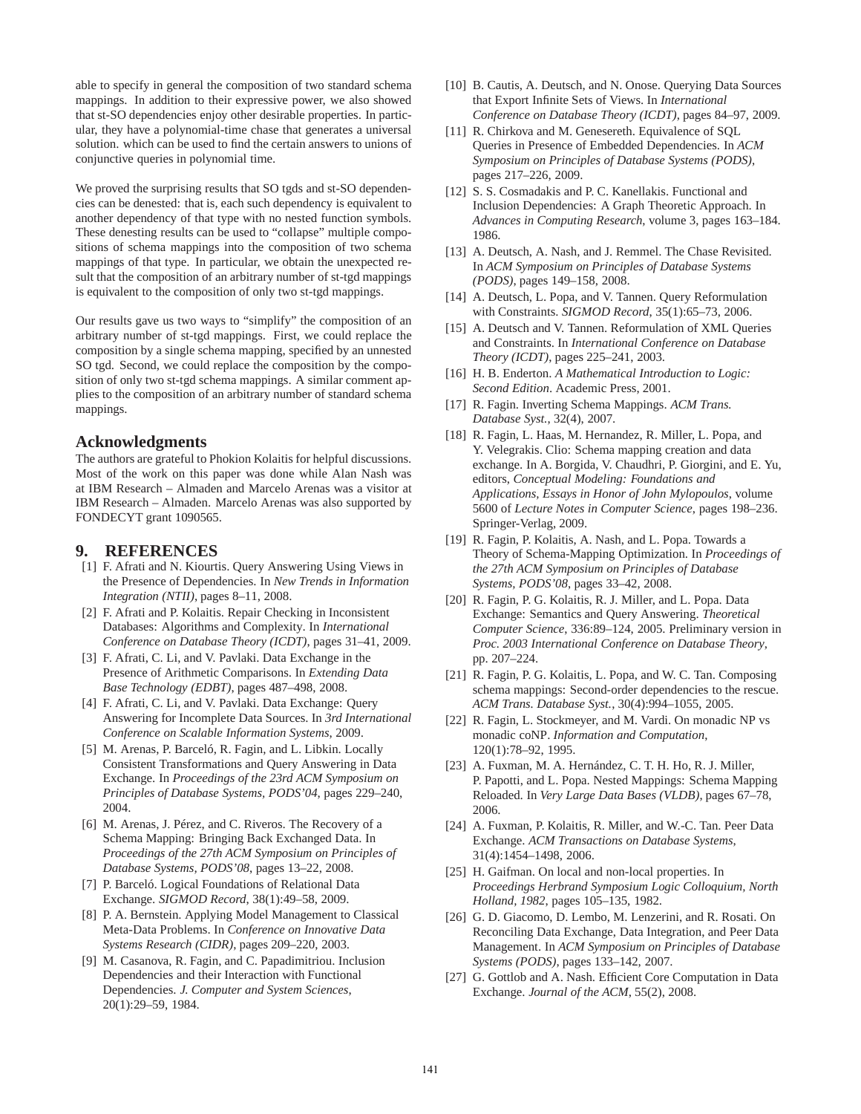able to specify in general the composition of two standard schema mappings. In addition to their expressive power, we also showed that st-SO dependencies enjoy other desirable properties. In particular, they have a polynomial-time chase that generates a universal solution. which can be used to find the certain answers to unions of conjunctive queries in polynomial time.

We proved the surprising results that SO tgds and st-SO dependencies can be denested: that is, each such dependency is equivalent to another dependency of that type with no nested function symbols. These denesting results can be used to "collapse" multiple compositions of schema mappings into the composition of two schema mappings of that type. In particular, we obtain the unexpected result that the composition of an arbitrary number of st-tgd mappings is equivalent to the composition of only two st-tgd mappings.

Our results gave us two ways to "simplify" the composition of an arbitrary number of st-tgd mappings. First, we could replace the composition by a single schema mapping, specified by an unnested SO tgd. Second, we could replace the composition by the composition of only two st-tgd schema mappings. A similar comment applies to the composition of an arbitrary number of standard schema mappings.

## **Acknowledgments**

The authors are grateful to Phokion Kolaitis for helpful discussions. Most of the work on this paper was done while Alan Nash was at IBM Research – Almaden and Marcelo Arenas was a visitor at IBM Research – Almaden. Marcelo Arenas was also supported by FONDECYT grant 1090565.

#### **9. REFERENCES**

- [1] F. Afrati and N. Kiourtis. Query Answering Using Views in the Presence of Dependencies. In *New Trends in Information Integration (NTII)*, pages 8–11, 2008.
- [2] F. Afrati and P. Kolaitis. Repair Checking in Inconsistent Databases: Algorithms and Complexity. In *International Conference on Database Theory (ICDT)*, pages 31–41, 2009.
- [3] F. Afrati, C. Li, and V. Pavlaki. Data Exchange in the Presence of Arithmetic Comparisons. In *Extending Data Base Technology (EDBT)*, pages 487–498, 2008.
- [4] F. Afrati, C. Li, and V. Pavlaki. Data Exchange: Query Answering for Incomplete Data Sources. In *3rd International Conference on Scalable Information Systems*, 2009.
- [5] M. Arenas, P. Barceló, R. Fagin, and L. Libkin. Locally Consistent Transformations and Query Answering in Data Exchange. In *Proceedings of the 23rd ACM Symposium on Principles of Database Systems, PODS'04*, pages 229–240, 2004.
- [6] M. Arenas, J. Pérez, and C. Riveros. The Recovery of a Schema Mapping: Bringing Back Exchanged Data. In *Proceedings of the 27th ACM Symposium on Principles of Database Systems, PODS'08*, pages 13–22, 2008.
- [7] P. Barceló. Logical Foundations of Relational Data Exchange. *SIGMOD Record*, 38(1):49–58, 2009.
- [8] P. A. Bernstein. Applying Model Management to Classical Meta-Data Problems. In *Conference on Innovative Data Systems Research (CIDR)*, pages 209–220, 2003.
- [9] M. Casanova, R. Fagin, and C. Papadimitriou. Inclusion Dependencies and their Interaction with Functional Dependencies. *J. Computer and System Sciences*, 20(1):29–59, 1984.
- [10] B. Cautis, A. Deutsch, and N. Onose. Querying Data Sources that Export Infinite Sets of Views. In *International Conference on Database Theory (ICDT)*, pages 84–97, 2009.
- [11] R. Chirkova and M. Genesereth. Equivalence of SQL Queries in Presence of Embedded Dependencies. In *ACM Symposium on Principles of Database Systems (PODS)*, pages 217–226, 2009.
- [12] S. S. Cosmadakis and P. C. Kanellakis. Functional and Inclusion Dependencies: A Graph Theoretic Approach. In *Advances in Computing Research*, volume 3, pages 163–184. 1986.
- [13] A. Deutsch, A. Nash, and J. Remmel. The Chase Revisited. In *ACM Symposium on Principles of Database Systems (PODS)*, pages 149–158, 2008.
- [14] A. Deutsch, L. Popa, and V. Tannen. Query Reformulation with Constraints. *SIGMOD Record*, 35(1):65–73, 2006.
- [15] A. Deutsch and V. Tannen. Reformulation of XML Queries and Constraints. In *International Conference on Database Theory (ICDT)*, pages 225–241, 2003.
- [16] H. B. Enderton. *A Mathematical Introduction to Logic: Second Edition*. Academic Press, 2001.
- [17] R. Fagin. Inverting Schema Mappings. *ACM Trans. Database Syst.*, 32(4), 2007.
- [18] R. Fagin, L. Haas, M. Hernandez, R. Miller, L. Popa, and Y. Velegrakis. Clio: Schema mapping creation and data exchange. In A. Borgida, V. Chaudhri, P. Giorgini, and E. Yu, editors, *Conceptual Modeling: Foundations and Applications, Essays in Honor of John Mylopoulos*, volume 5600 of *Lecture Notes in Computer Science*, pages 198–236. Springer-Verlag, 2009.
- [19] R. Fagin, P. Kolaitis, A. Nash, and L. Popa. Towards a Theory of Schema-Mapping Optimization. In *Proceedings of the 27th ACM Symposium on Principles of Database Systems, PODS'08*, pages 33–42, 2008.
- [20] R. Fagin, P. G. Kolaitis, R. J. Miller, and L. Popa. Data Exchange: Semantics and Query Answering. *Theoretical Computer Science*, 336:89–124, 2005. Preliminary version in *Proc. 2003 International Conference on Database Theory*, pp. 207–224.
- [21] R. Fagin, P. G. Kolaitis, L. Popa, and W. C. Tan. Composing schema mappings: Second-order dependencies to the rescue. *ACM Trans. Database Syst.*, 30(4):994–1055, 2005.
- [22] R. Fagin, L. Stockmeyer, and M. Vardi. On monadic NP vs monadic coNP. *Information and Computation*, 120(1):78–92, 1995.
- [23] A. Fuxman, M. A. Hernández, C. T. H. Ho, R. J. Miller, P. Papotti, and L. Popa. Nested Mappings: Schema Mapping Reloaded. In *Very Large Data Bases (VLDB)*, pages 67–78, 2006.
- [24] A. Fuxman, P. Kolaitis, R. Miller, and W.-C. Tan. Peer Data Exchange. *ACM Transactions on Database Systems*, 31(4):1454–1498, 2006.
- [25] H. Gaifman. On local and non-local properties. In *Proceedings Herbrand Symposium Logic Colloquium, North Holland, 1982*, pages 105–135, 1982.
- [26] G. D. Giacomo, D. Lembo, M. Lenzerini, and R. Rosati. On Reconciling Data Exchange, Data Integration, and Peer Data Management. In *ACM Symposium on Principles of Database Systems (PODS)*, pages 133–142, 2007.
- [27] G. Gottlob and A. Nash. Efficient Core Computation in Data Exchange. *Journal of the ACM*, 55(2), 2008.